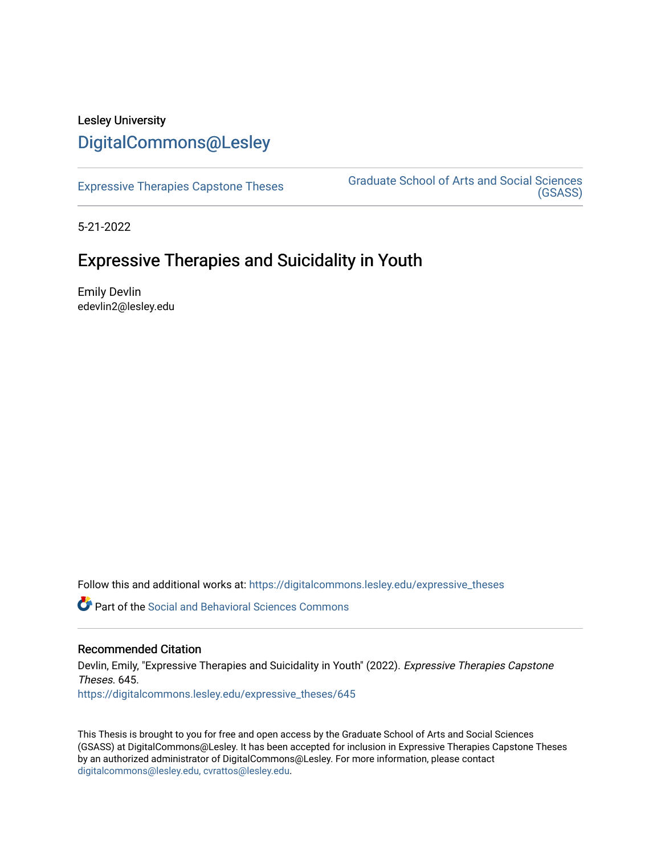# Lesley University [DigitalCommons@Lesley](https://digitalcommons.lesley.edu/)

[Expressive Therapies Capstone Theses](https://digitalcommons.lesley.edu/expressive_theses) Graduate School of Arts and Social Sciences [\(GSASS\)](https://digitalcommons.lesley.edu/gsass) 

5-21-2022

# Expressive Therapies and Suicidality in Youth

Emily Devlin edevlin2@lesley.edu

Follow this and additional works at: [https://digitalcommons.lesley.edu/expressive\\_theses](https://digitalcommons.lesley.edu/expressive_theses?utm_source=digitalcommons.lesley.edu%2Fexpressive_theses%2F645&utm_medium=PDF&utm_campaign=PDFCoverPages)

**C** Part of the Social and Behavioral Sciences Commons

# Recommended Citation

Devlin, Emily, "Expressive Therapies and Suicidality in Youth" (2022). Expressive Therapies Capstone Theses. 645. [https://digitalcommons.lesley.edu/expressive\\_theses/645](https://digitalcommons.lesley.edu/expressive_theses/645?utm_source=digitalcommons.lesley.edu%2Fexpressive_theses%2F645&utm_medium=PDF&utm_campaign=PDFCoverPages)

This Thesis is brought to you for free and open access by the Graduate School of Arts and Social Sciences (GSASS) at DigitalCommons@Lesley. It has been accepted for inclusion in Expressive Therapies Capstone Theses by an authorized administrator of DigitalCommons@Lesley. For more information, please contact [digitalcommons@lesley.edu, cvrattos@lesley.edu](mailto:digitalcommons@lesley.edu,%20cvrattos@lesley.edu).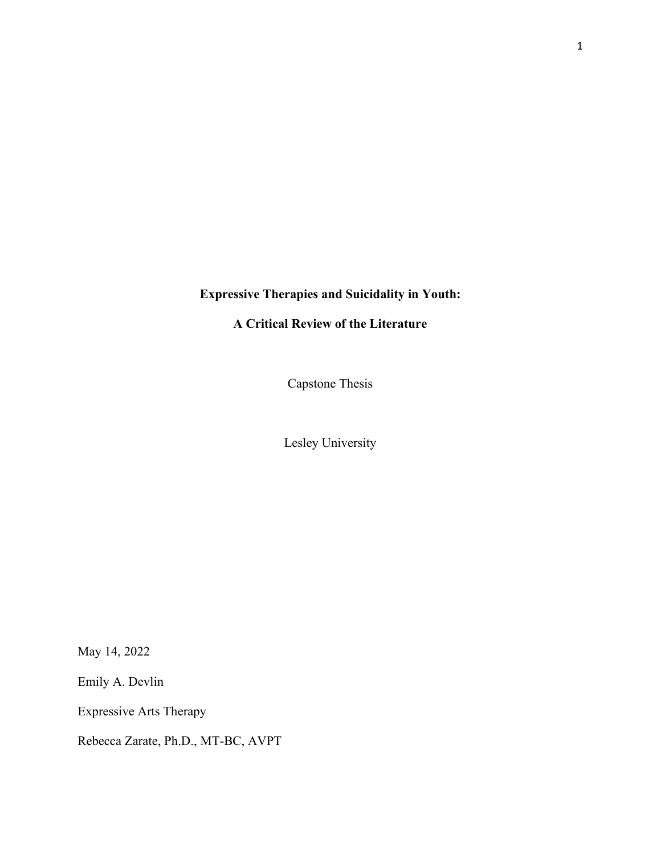# **Expressive Therapies and Suicidality in Youth:**

# **A Critical Review of the Literature**

Capstone Thesis

Lesley University

May 14, 2022

Emily A. Devlin

Expressive Arts Therapy

Rebecca Zarate, Ph.D., MT-BC, AVPT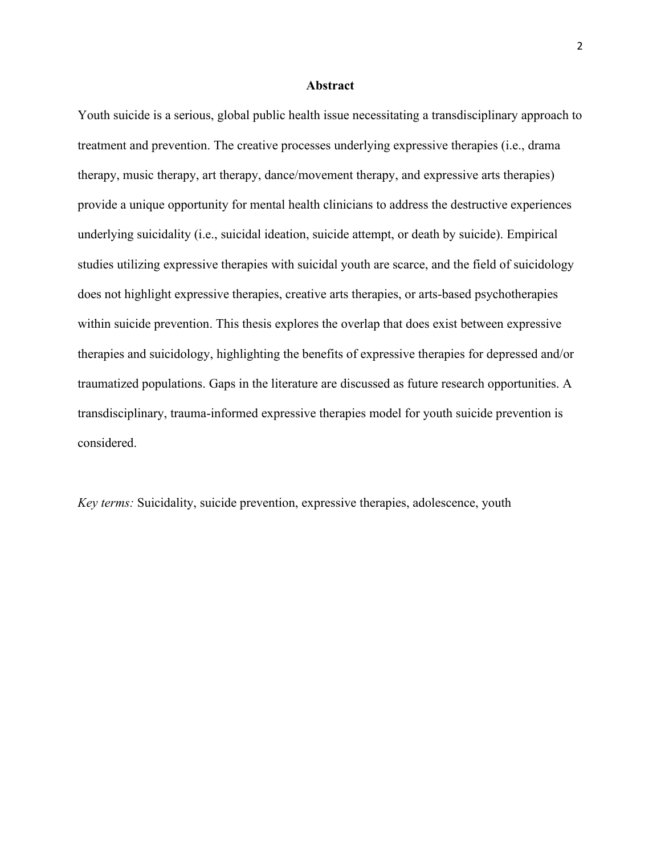#### **Abstract**

Youth suicide is a serious, global public health issue necessitating a transdisciplinary approach to treatment and prevention. The creative processes underlying expressive therapies (i.e., drama therapy, music therapy, art therapy, dance/movement therapy, and expressive arts therapies) provide a unique opportunity for mental health clinicians to address the destructive experiences underlying suicidality (i.e., suicidal ideation, suicide attempt, or death by suicide). Empirical studies utilizing expressive therapies with suicidal youth are scarce, and the field of suicidology does not highlight expressive therapies, creative arts therapies, or arts-based psychotherapies within suicide prevention. This thesis explores the overlap that does exist between expressive therapies and suicidology, highlighting the benefits of expressive therapies for depressed and/or traumatized populations. Gaps in the literature are discussed as future research opportunities. A transdisciplinary, trauma-informed expressive therapies model for youth suicide prevention is considered.

*Key terms:* Suicidality, suicide prevention, expressive therapies, adolescence, youth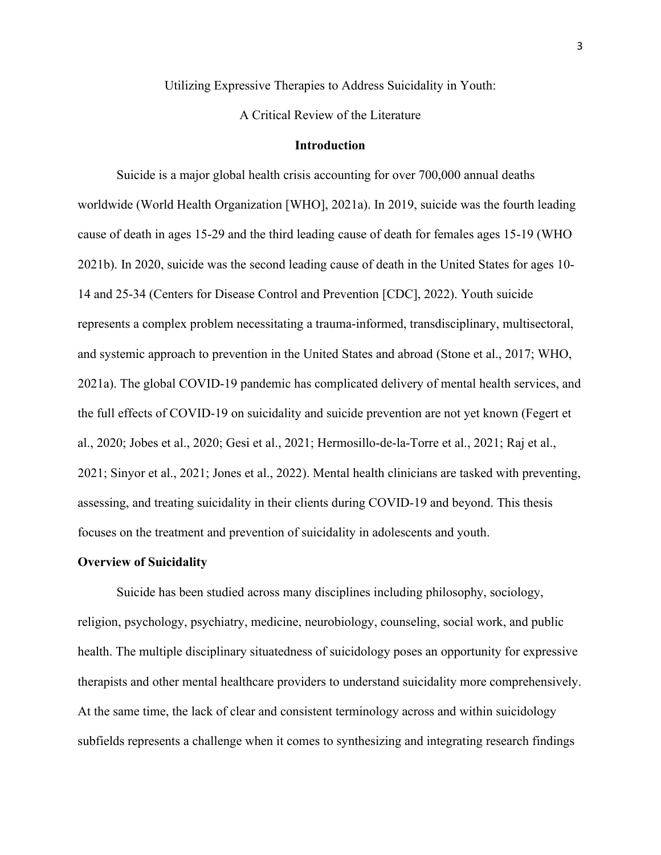Utilizing Expressive Therapies to Address Suicidality in Youth:

A Critical Review of the Literature

#### **Introduction**

Suicide is a major global health crisis accounting for over 700,000 annual deaths worldwide (World Health Organization [WHO], 2021a). In 2019, suicide was the fourth leading cause of death in ages 15-29 and the third leading cause of death for females ages 15-19 (WHO 2021b). In 2020, suicide was the second leading cause of death in the United States for ages 10- 14 and 25-34 (Centers for Disease Control and Prevention [CDC], 2022). Youth suicide represents a complex problem necessitating a trauma-informed, transdisciplinary, multisectoral, and systemic approach to prevention in the United States and abroad (Stone et al., 2017; WHO, 2021a). The global COVID-19 pandemic has complicated delivery of mental health services, and the full effects of COVID-19 on suicidality and suicide prevention are not yet known (Fegert et al., 2020; Jobes et al., 2020; Gesi et al., 2021; Hermosillo-de-la-Torre et al., 2021; Raj et al., 2021; Sinyor et al., 2021; Jones et al., 2022). Mental health clinicians are tasked with preventing, assessing, and treating suicidality in their clients during COVID-19 and beyond. This thesis focuses on the treatment and prevention of suicidality in adolescents and youth.

#### **Overview of Suicidality**

Suicide has been studied across many disciplines including philosophy, sociology, religion, psychology, psychiatry, medicine, neurobiology, counseling, social work, and public health. The multiple disciplinary situatedness of suicidology poses an opportunity for expressive therapists and other mental healthcare providers to understand suicidality more comprehensively. At the same time, the lack of clear and consistent terminology across and within suicidology subfields represents a challenge when it comes to synthesizing and integrating research findings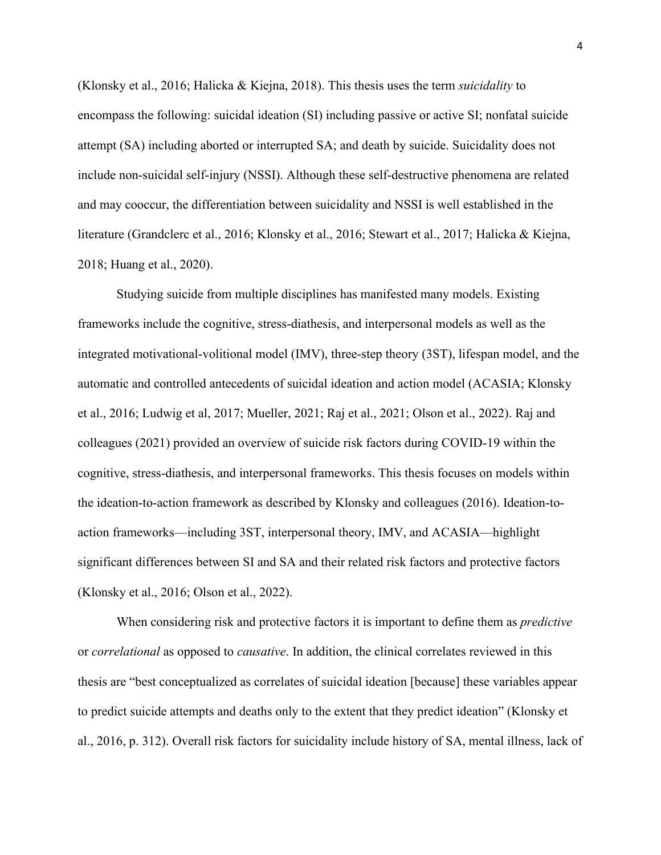(Klonsky et al., 2016; Halicka & Kiejna, 2018). This thesis uses the term *suicidality* to encompass the following: suicidal ideation (SI) including passive or active SI; nonfatal suicide attempt (SA) including aborted or interrupted SA; and death by suicide. Suicidality does not include non-suicidal self-injury (NSSI). Although these self-destructive phenomena are related and may cooccur, the differentiation between suicidality and NSSI is well established in the literature (Grandclerc et al., 2016; Klonsky et al., 2016; Stewart et al., 2017; Halicka & Kiejna, 2018; Huang et al., 2020).

Studying suicide from multiple disciplines has manifested many models. Existing frameworks include the cognitive, stress-diathesis, and interpersonal models as well as the integrated motivational-volitional model (IMV), three-step theory (3ST), lifespan model, and the automatic and controlled antecedents of suicidal ideation and action model (ACASIA; Klonsky et al., 2016; Ludwig et al, 2017; Mueller, 2021; Raj et al., 2021; Olson et al., 2022). Raj and colleagues (2021) provided an overview of suicide risk factors during COVID-19 within the cognitive, stress-diathesis, and interpersonal frameworks. This thesis focuses on models within the ideation-to-action framework as described by Klonsky and colleagues (2016). Ideation-toaction frameworks—including 3ST, interpersonal theory, IMV, and ACASIA—highlight significant differences between SI and SA and their related risk factors and protective factors (Klonsky et al., 2016; Olson et al., 2022).

When considering risk and protective factors it is important to define them as *predictive* or *correlational* as opposed to *causative*. In addition, the clinical correlates reviewed in this thesis are "best conceptualized as correlates of suicidal ideation [because] these variables appear to predict suicide attempts and deaths only to the extent that they predict ideation" (Klonsky et al., 2016, p. 312). Overall risk factors for suicidality include history of SA, mental illness, lack of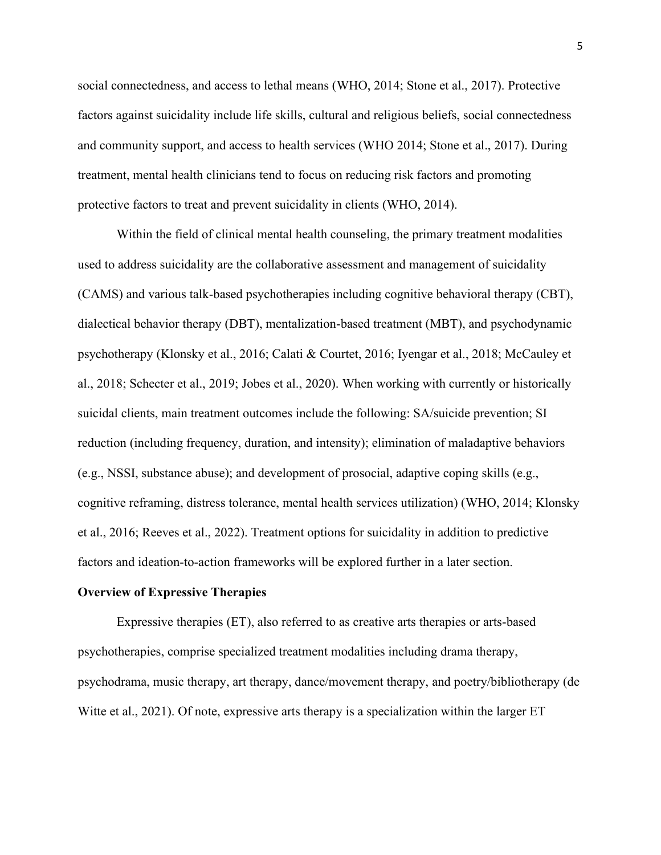social connectedness, and access to lethal means (WHO, 2014; Stone et al., 2017). Protective factors against suicidality include life skills, cultural and religious beliefs, social connectedness and community support, and access to health services (WHO 2014; Stone et al., 2017). During treatment, mental health clinicians tend to focus on reducing risk factors and promoting protective factors to treat and prevent suicidality in clients (WHO, 2014).

Within the field of clinical mental health counseling, the primary treatment modalities used to address suicidality are the collaborative assessment and management of suicidality (CAMS) and various talk-based psychotherapies including cognitive behavioral therapy (CBT), dialectical behavior therapy (DBT), mentalization-based treatment (MBT), and psychodynamic psychotherapy (Klonsky et al., 2016; Calati & Courtet, 2016; Iyengar et al., 2018; McCauley et al., 2018; Schecter et al., 2019; Jobes et al., 2020). When working with currently or historically suicidal clients, main treatment outcomes include the following: SA/suicide prevention; SI reduction (including frequency, duration, and intensity); elimination of maladaptive behaviors (e.g., NSSI, substance abuse); and development of prosocial, adaptive coping skills (e.g., cognitive reframing, distress tolerance, mental health services utilization) (WHO, 2014; Klonsky et al., 2016; Reeves et al., 2022). Treatment options for suicidality in addition to predictive factors and ideation-to-action frameworks will be explored further in a later section.

#### **Overview of Expressive Therapies**

Expressive therapies (ET), also referred to as creative arts therapies or arts-based psychotherapies, comprise specialized treatment modalities including drama therapy, psychodrama, music therapy, art therapy, dance/movement therapy, and poetry/bibliotherapy (de Witte et al., 2021). Of note, expressive arts therapy is a specialization within the larger ET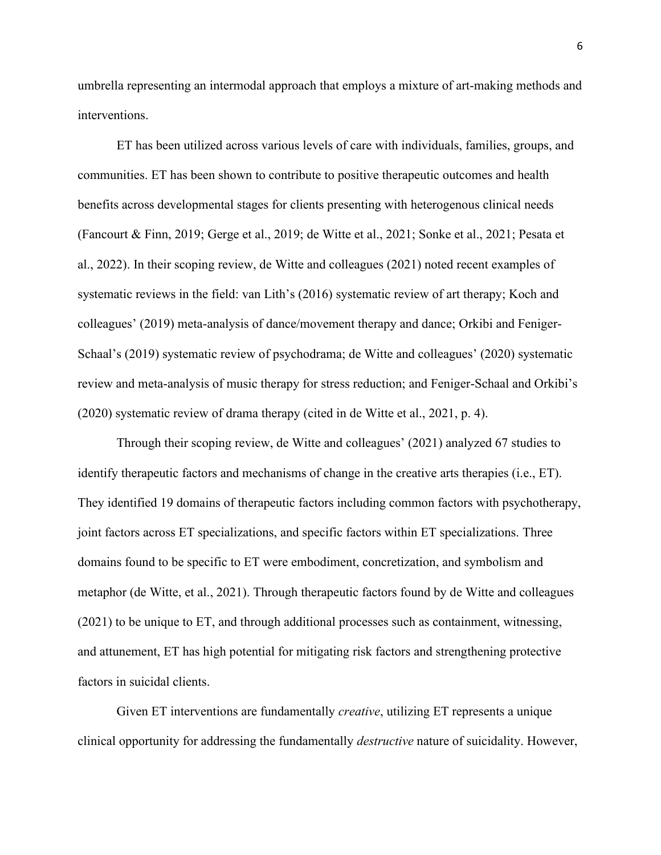umbrella representing an intermodal approach that employs a mixture of art-making methods and interventions.

ET has been utilized across various levels of care with individuals, families, groups, and communities. ET has been shown to contribute to positive therapeutic outcomes and health benefits across developmental stages for clients presenting with heterogenous clinical needs (Fancourt & Finn, 2019; Gerge et al., 2019; de Witte et al., 2021; Sonke et al., 2021; Pesata et al., 2022). In their scoping review, de Witte and colleagues (2021) noted recent examples of systematic reviews in the field: van Lith's (2016) systematic review of art therapy; Koch and colleagues' (2019) meta-analysis of dance/movement therapy and dance; Orkibi and Feniger-Schaal's (2019) systematic review of psychodrama; de Witte and colleagues' (2020) systematic review and meta-analysis of music therapy for stress reduction; and Feniger-Schaal and Orkibi's (2020) systematic review of drama therapy (cited in de Witte et al., 2021, p. 4).

Through their scoping review, de Witte and colleagues' (2021) analyzed 67 studies to identify therapeutic factors and mechanisms of change in the creative arts therapies (i.e., ET). They identified 19 domains of therapeutic factors including common factors with psychotherapy, joint factors across ET specializations, and specific factors within ET specializations. Three domains found to be specific to ET were embodiment, concretization, and symbolism and metaphor (de Witte, et al., 2021). Through therapeutic factors found by de Witte and colleagues (2021) to be unique to ET, and through additional processes such as containment, witnessing, and attunement, ET has high potential for mitigating risk factors and strengthening protective factors in suicidal clients.

Given ET interventions are fundamentally *creative*, utilizing ET represents a unique clinical opportunity for addressing the fundamentally *destructive* nature of suicidality. However,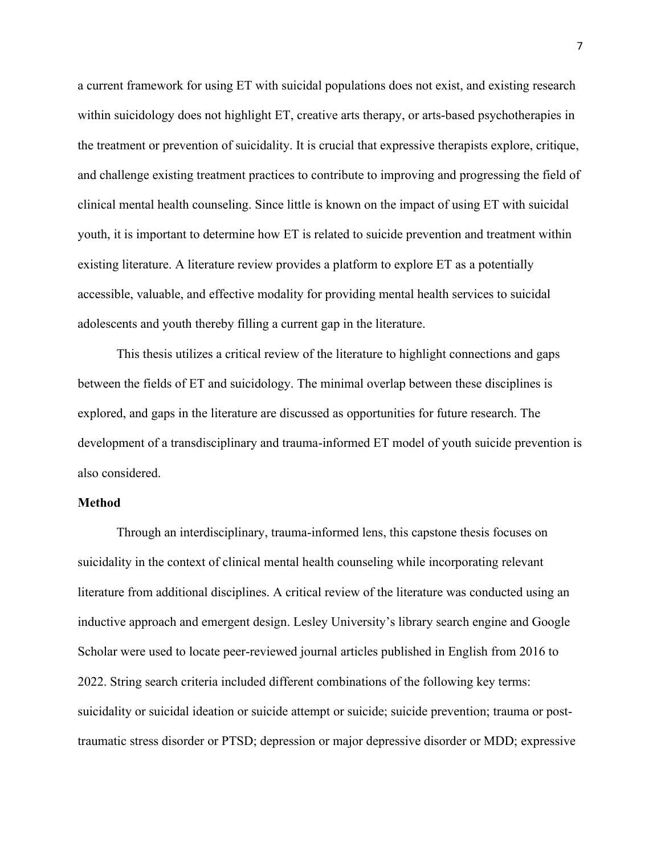a current framework for using ET with suicidal populations does not exist, and existing research within suicidology does not highlight ET, creative arts therapy, or arts-based psychotherapies in the treatment or prevention of suicidality. It is crucial that expressive therapists explore, critique, and challenge existing treatment practices to contribute to improving and progressing the field of clinical mental health counseling. Since little is known on the impact of using ET with suicidal youth, it is important to determine how ET is related to suicide prevention and treatment within existing literature. A literature review provides a platform to explore ET as a potentially accessible, valuable, and effective modality for providing mental health services to suicidal adolescents and youth thereby filling a current gap in the literature.

This thesis utilizes a critical review of the literature to highlight connections and gaps between the fields of ET and suicidology. The minimal overlap between these disciplines is explored, and gaps in the literature are discussed as opportunities for future research. The development of a transdisciplinary and trauma-informed ET model of youth suicide prevention is also considered.

#### **Method**

Through an interdisciplinary, trauma-informed lens, this capstone thesis focuses on suicidality in the context of clinical mental health counseling while incorporating relevant literature from additional disciplines. A critical review of the literature was conducted using an inductive approach and emergent design. Lesley University's library search engine and Google Scholar were used to locate peer-reviewed journal articles published in English from 2016 to 2022. String search criteria included different combinations of the following key terms: suicidality or suicidal ideation or suicide attempt or suicide; suicide prevention; trauma or posttraumatic stress disorder or PTSD; depression or major depressive disorder or MDD; expressive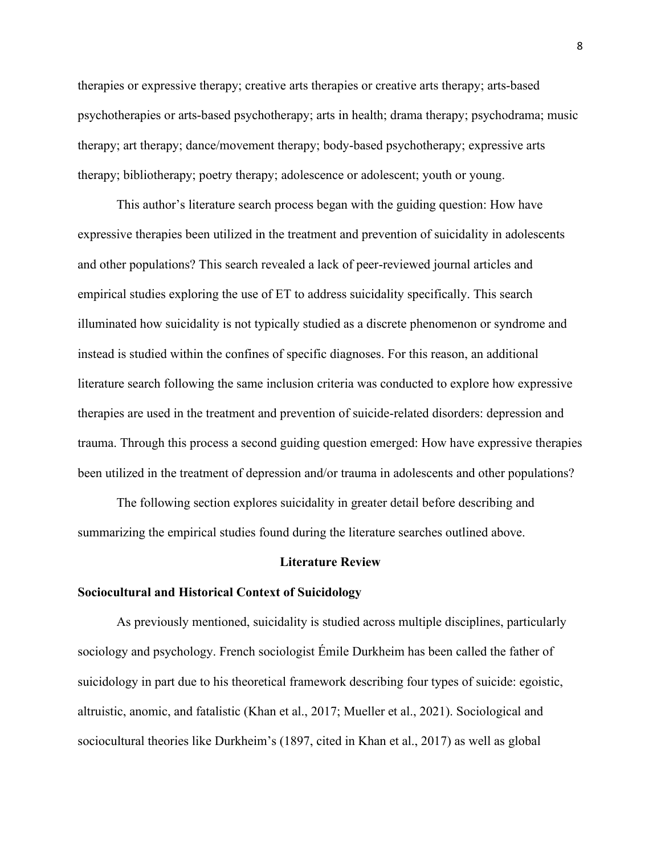therapies or expressive therapy; creative arts therapies or creative arts therapy; arts-based psychotherapies or arts-based psychotherapy; arts in health; drama therapy; psychodrama; music therapy; art therapy; dance/movement therapy; body-based psychotherapy; expressive arts therapy; bibliotherapy; poetry therapy; adolescence or adolescent; youth or young.

This author's literature search process began with the guiding question: How have expressive therapies been utilized in the treatment and prevention of suicidality in adolescents and other populations? This search revealed a lack of peer-reviewed journal articles and empirical studies exploring the use of ET to address suicidality specifically. This search illuminated how suicidality is not typically studied as a discrete phenomenon or syndrome and instead is studied within the confines of specific diagnoses. For this reason, an additional literature search following the same inclusion criteria was conducted to explore how expressive therapies are used in the treatment and prevention of suicide-related disorders: depression and trauma. Through this process a second guiding question emerged: How have expressive therapies been utilized in the treatment of depression and/or trauma in adolescents and other populations?

The following section explores suicidality in greater detail before describing and summarizing the empirical studies found during the literature searches outlined above.

#### **Literature Review**

#### **Sociocultural and Historical Context of Suicidology**

As previously mentioned, suicidality is studied across multiple disciplines, particularly sociology and psychology. French sociologist Émile Durkheim has been called the father of suicidology in part due to his theoretical framework describing four types of suicide: egoistic, altruistic, anomic, and fatalistic (Khan et al., 2017; Mueller et al., 2021). Sociological and sociocultural theories like Durkheim's (1897, cited in Khan et al., 2017) as well as global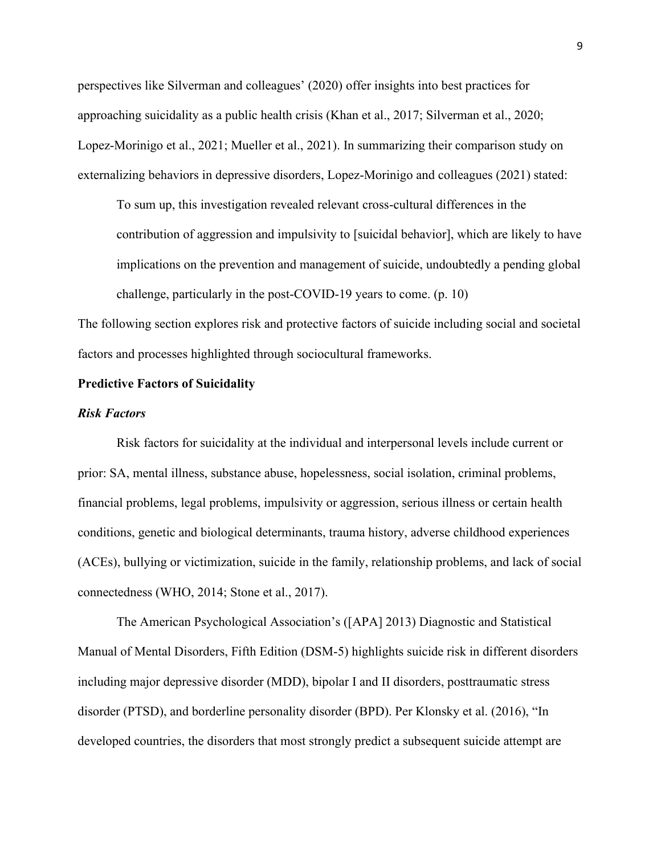perspectives like Silverman and colleagues' (2020) offer insights into best practices for approaching suicidality as a public health crisis (Khan et al., 2017; Silverman et al., 2020; Lopez-Morinigo et al., 2021; Mueller et al., 2021). In summarizing their comparison study on externalizing behaviors in depressive disorders, Lopez-Morinigo and colleagues (2021) stated:

To sum up, this investigation revealed relevant cross-cultural differences in the contribution of aggression and impulsivity to [suicidal behavior], which are likely to have implications on the prevention and management of suicide, undoubtedly a pending global challenge, particularly in the post-COVID-19 years to come. (p. 10)

The following section explores risk and protective factors of suicide including social and societal factors and processes highlighted through sociocultural frameworks.

#### **Predictive Factors of Suicidality**

#### *Risk Factors*

Risk factors for suicidality at the individual and interpersonal levels include current or prior: SA, mental illness, substance abuse, hopelessness, social isolation, criminal problems, financial problems, legal problems, impulsivity or aggression, serious illness or certain health conditions, genetic and biological determinants, trauma history, adverse childhood experiences (ACEs), bullying or victimization, suicide in the family, relationship problems, and lack of social connectedness (WHO, 2014; Stone et al., 2017).

The American Psychological Association's ([APA] 2013) Diagnostic and Statistical Manual of Mental Disorders, Fifth Edition (DSM-5) highlights suicide risk in different disorders including major depressive disorder (MDD), bipolar I and II disorders, posttraumatic stress disorder (PTSD), and borderline personality disorder (BPD). Per Klonsky et al. (2016), "In developed countries, the disorders that most strongly predict a subsequent suicide attempt are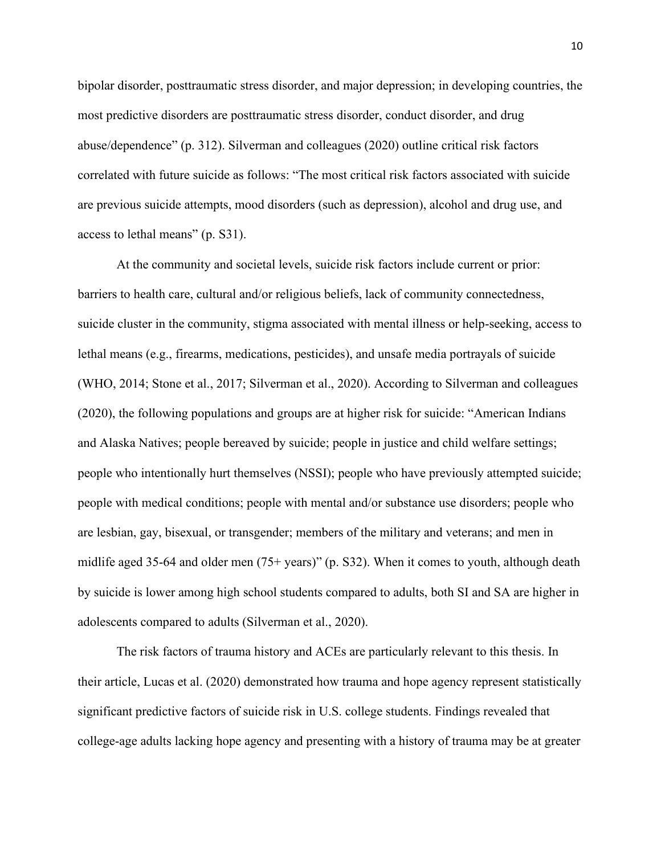bipolar disorder, posttraumatic stress disorder, and major depression; in developing countries, the most predictive disorders are posttraumatic stress disorder, conduct disorder, and drug abuse/dependence" (p. 312). Silverman and colleagues (2020) outline critical risk factors correlated with future suicide as follows: "The most critical risk factors associated with suicide are previous suicide attempts, mood disorders (such as depression), alcohol and drug use, and access to lethal means" (p. S31).

At the community and societal levels, suicide risk factors include current or prior: barriers to health care, cultural and/or religious beliefs, lack of community connectedness, suicide cluster in the community, stigma associated with mental illness or help-seeking, access to lethal means (e.g., firearms, medications, pesticides), and unsafe media portrayals of suicide (WHO, 2014; Stone et al., 2017; Silverman et al., 2020). According to Silverman and colleagues (2020), the following populations and groups are at higher risk for suicide: "American Indians and Alaska Natives; people bereaved by suicide; people in justice and child welfare settings; people who intentionally hurt themselves (NSSI); people who have previously attempted suicide; people with medical conditions; people with mental and/or substance use disorders; people who are lesbian, gay, bisexual, or transgender; members of the military and veterans; and men in midlife aged 35-64 and older men (75+ years)" (p. S32). When it comes to youth, although death by suicide is lower among high school students compared to adults, both SI and SA are higher in adolescents compared to adults (Silverman et al., 2020).

The risk factors of trauma history and ACEs are particularly relevant to this thesis. In their article, Lucas et al. (2020) demonstrated how trauma and hope agency represent statistically significant predictive factors of suicide risk in U.S. college students. Findings revealed that college-age adults lacking hope agency and presenting with a history of trauma may be at greater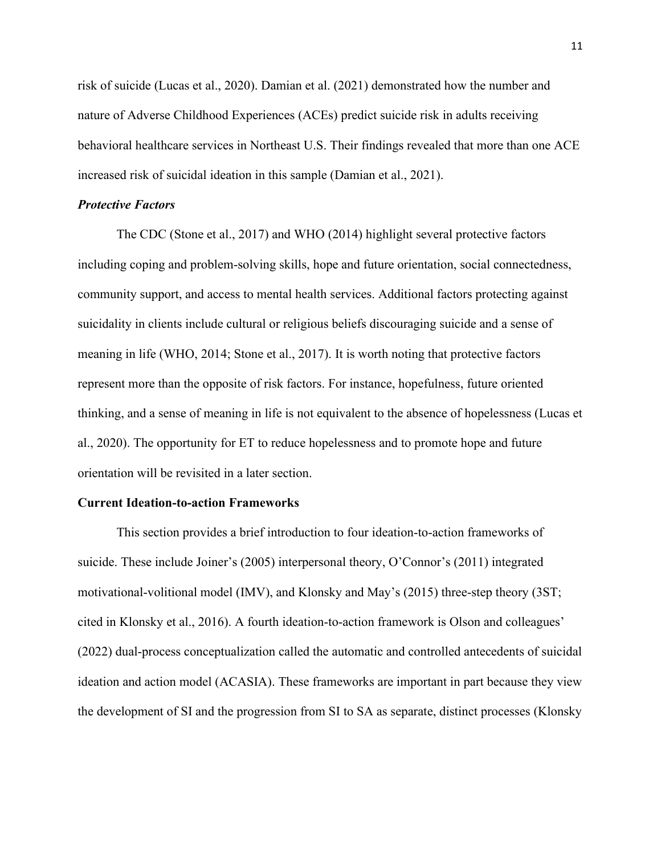risk of suicide (Lucas et al., 2020). Damian et al. (2021) demonstrated how the number and nature of Adverse Childhood Experiences (ACEs) predict suicide risk in adults receiving behavioral healthcare services in Northeast U.S. Their findings revealed that more than one ACE increased risk of suicidal ideation in this sample (Damian et al., 2021).

#### *Protective Factors*

The CDC (Stone et al., 2017) and WHO (2014) highlight several protective factors including coping and problem-solving skills, hope and future orientation, social connectedness, community support, and access to mental health services. Additional factors protecting against suicidality in clients include cultural or religious beliefs discouraging suicide and a sense of meaning in life (WHO, 2014; Stone et al., 2017). It is worth noting that protective factors represent more than the opposite of risk factors. For instance, hopefulness, future oriented thinking, and a sense of meaning in life is not equivalent to the absence of hopelessness (Lucas et al., 2020). The opportunity for ET to reduce hopelessness and to promote hope and future orientation will be revisited in a later section.

#### **Current Ideation-to-action Frameworks**

This section provides a brief introduction to four ideation-to-action frameworks of suicide. These include Joiner's (2005) interpersonal theory, O'Connor's (2011) integrated motivational-volitional model (IMV), and Klonsky and May's (2015) three-step theory (3ST; cited in Klonsky et al., 2016). A fourth ideation-to-action framework is Olson and colleagues' (2022) dual-process conceptualization called the automatic and controlled antecedents of suicidal ideation and action model (ACASIA). These frameworks are important in part because they view the development of SI and the progression from SI to SA as separate, distinct processes (Klonsky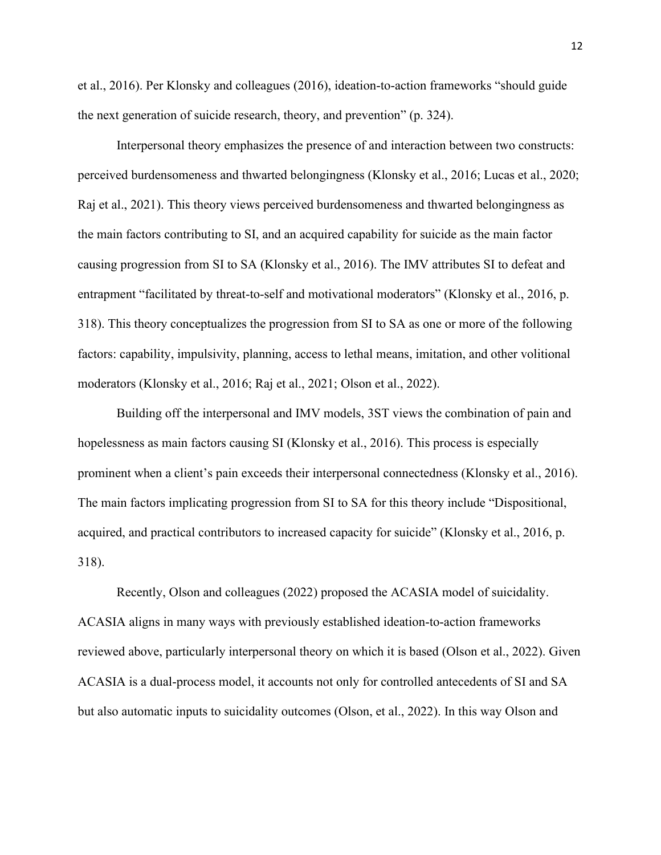et al., 2016). Per Klonsky and colleagues (2016), ideation-to-action frameworks "should guide the next generation of suicide research, theory, and prevention" (p. 324).

Interpersonal theory emphasizes the presence of and interaction between two constructs: perceived burdensomeness and thwarted belongingness (Klonsky et al., 2016; Lucas et al., 2020; Raj et al., 2021). This theory views perceived burdensomeness and thwarted belongingness as the main factors contributing to SI, and an acquired capability for suicide as the main factor causing progression from SI to SA (Klonsky et al., 2016). The IMV attributes SI to defeat and entrapment "facilitated by threat-to-self and motivational moderators" (Klonsky et al., 2016, p. 318). This theory conceptualizes the progression from SI to SA as one or more of the following factors: capability, impulsivity, planning, access to lethal means, imitation, and other volitional moderators (Klonsky et al., 2016; Raj et al., 2021; Olson et al., 2022).

Building off the interpersonal and IMV models, 3ST views the combination of pain and hopelessness as main factors causing SI (Klonsky et al., 2016). This process is especially prominent when a client's pain exceeds their interpersonal connectedness (Klonsky et al., 2016). The main factors implicating progression from SI to SA for this theory include "Dispositional, acquired, and practical contributors to increased capacity for suicide" (Klonsky et al., 2016, p. 318).

Recently, Olson and colleagues (2022) proposed the ACASIA model of suicidality. ACASIA aligns in many ways with previously established ideation-to-action frameworks reviewed above, particularly interpersonal theory on which it is based (Olson et al., 2022). Given ACASIA is a dual-process model, it accounts not only for controlled antecedents of SI and SA but also automatic inputs to suicidality outcomes (Olson, et al., 2022). In this way Olson and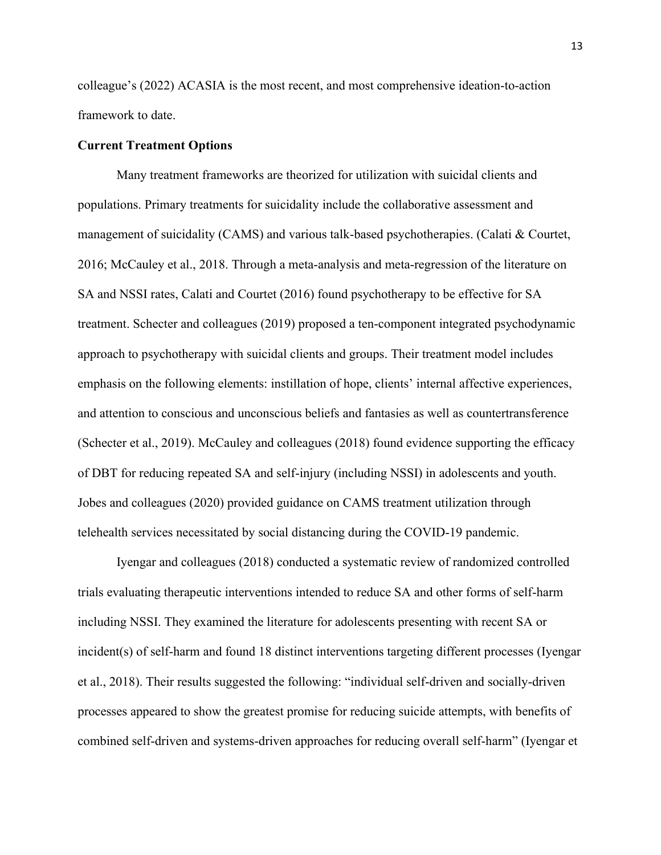colleague's (2022) ACASIA is the most recent, and most comprehensive ideation-to-action framework to date.

#### **Current Treatment Options**

Many treatment frameworks are theorized for utilization with suicidal clients and populations. Primary treatments for suicidality include the collaborative assessment and management of suicidality (CAMS) and various talk-based psychotherapies. (Calati & Courtet, 2016; McCauley et al., 2018. Through a meta-analysis and meta-regression of the literature on SA and NSSI rates, Calati and Courtet (2016) found psychotherapy to be effective for SA treatment. Schecter and colleagues (2019) proposed a ten-component integrated psychodynamic approach to psychotherapy with suicidal clients and groups. Their treatment model includes emphasis on the following elements: instillation of hope, clients' internal affective experiences, and attention to conscious and unconscious beliefs and fantasies as well as countertransference (Schecter et al., 2019). McCauley and colleagues (2018) found evidence supporting the efficacy of DBT for reducing repeated SA and self-injury (including NSSI) in adolescents and youth. Jobes and colleagues (2020) provided guidance on CAMS treatment utilization through telehealth services necessitated by social distancing during the COVID-19 pandemic.

Iyengar and colleagues (2018) conducted a systematic review of randomized controlled trials evaluating therapeutic interventions intended to reduce SA and other forms of self-harm including NSSI. They examined the literature for adolescents presenting with recent SA or incident(s) of self-harm and found 18 distinct interventions targeting different processes (Iyengar et al., 2018). Their results suggested the following: "individual self-driven and socially-driven processes appeared to show the greatest promise for reducing suicide attempts, with benefits of combined self-driven and systems-driven approaches for reducing overall self-harm" (Iyengar et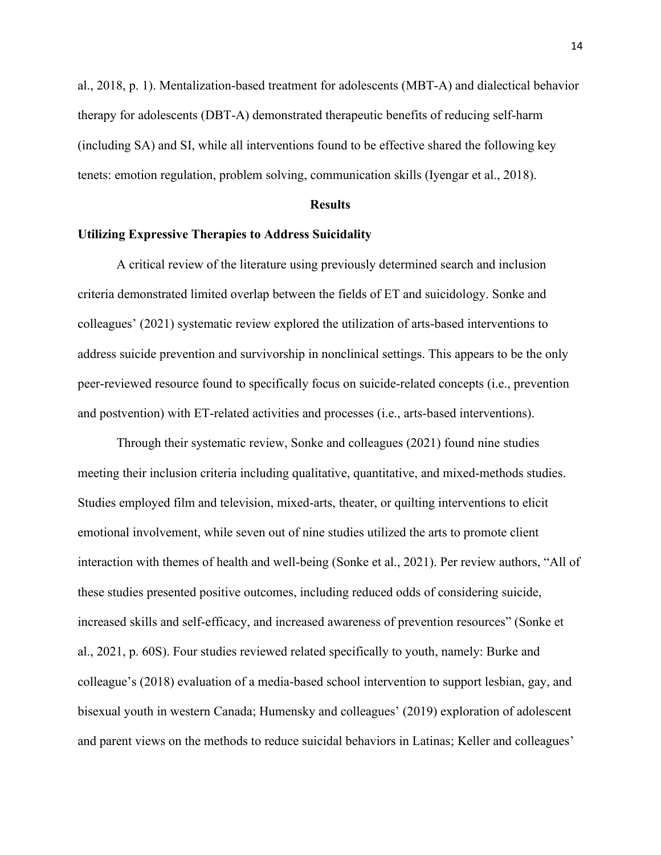al., 2018, p. 1). Mentalization-based treatment for adolescents (MBT-A) and dialectical behavior therapy for adolescents (DBT-A) demonstrated therapeutic benefits of reducing self-harm (including SA) and SI, while all interventions found to be effective shared the following key tenets: emotion regulation, problem solving, communication skills (Iyengar et al., 2018).

#### **Results**

#### **Utilizing Expressive Therapies to Address Suicidality**

A critical review of the literature using previously determined search and inclusion criteria demonstrated limited overlap between the fields of ET and suicidology. Sonke and colleagues' (2021) systematic review explored the utilization of arts-based interventions to address suicide prevention and survivorship in nonclinical settings. This appears to be the only peer-reviewed resource found to specifically focus on suicide-related concepts (i.e., prevention and postvention) with ET-related activities and processes (i.e., arts-based interventions).

Through their systematic review, Sonke and colleagues (2021) found nine studies meeting their inclusion criteria including qualitative, quantitative, and mixed-methods studies. Studies employed film and television, mixed-arts, theater, or quilting interventions to elicit emotional involvement, while seven out of nine studies utilized the arts to promote client interaction with themes of health and well-being (Sonke et al., 2021). Per review authors, "All of these studies presented positive outcomes, including reduced odds of considering suicide, increased skills and self-efficacy, and increased awareness of prevention resources" (Sonke et al., 2021, p. 60S). Four studies reviewed related specifically to youth, namely: Burke and colleague's (2018) evaluation of a media-based school intervention to support lesbian, gay, and bisexual youth in western Canada; Humensky and colleagues' (2019) exploration of adolescent and parent views on the methods to reduce suicidal behaviors in Latinas; Keller and colleagues'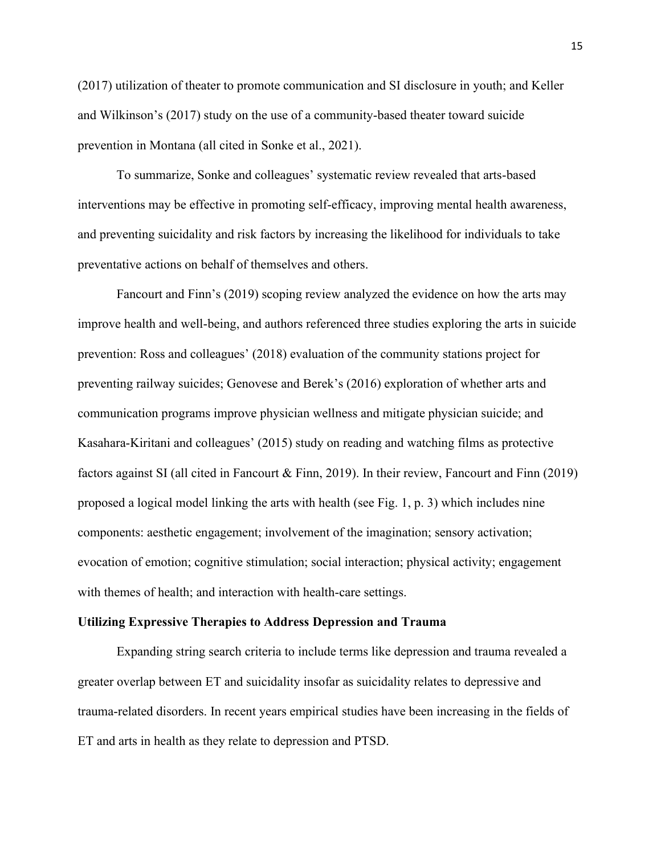(2017) utilization of theater to promote communication and SI disclosure in youth; and Keller and Wilkinson's (2017) study on the use of a community-based theater toward suicide prevention in Montana (all cited in Sonke et al., 2021).

To summarize, Sonke and colleagues' systematic review revealed that arts-based interventions may be effective in promoting self-efficacy, improving mental health awareness, and preventing suicidality and risk factors by increasing the likelihood for individuals to take preventative actions on behalf of themselves and others.

Fancourt and Finn's (2019) scoping review analyzed the evidence on how the arts may improve health and well-being, and authors referenced three studies exploring the arts in suicide prevention: Ross and colleagues' (2018) evaluation of the community stations project for preventing railway suicides; Genovese and Berek's (2016) exploration of whether arts and communication programs improve physician wellness and mitigate physician suicide; and Kasahara-Kiritani and colleagues' (2015) study on reading and watching films as protective factors against SI (all cited in Fancourt & Finn, 2019). In their review, Fancourt and Finn (2019) proposed a logical model linking the arts with health (see Fig. 1, p. 3) which includes nine components: aesthetic engagement; involvement of the imagination; sensory activation; evocation of emotion; cognitive stimulation; social interaction; physical activity; engagement with themes of health; and interaction with health-care settings.

#### **Utilizing Expressive Therapies to Address Depression and Trauma**

Expanding string search criteria to include terms like depression and trauma revealed a greater overlap between ET and suicidality insofar as suicidality relates to depressive and trauma-related disorders. In recent years empirical studies have been increasing in the fields of ET and arts in health as they relate to depression and PTSD.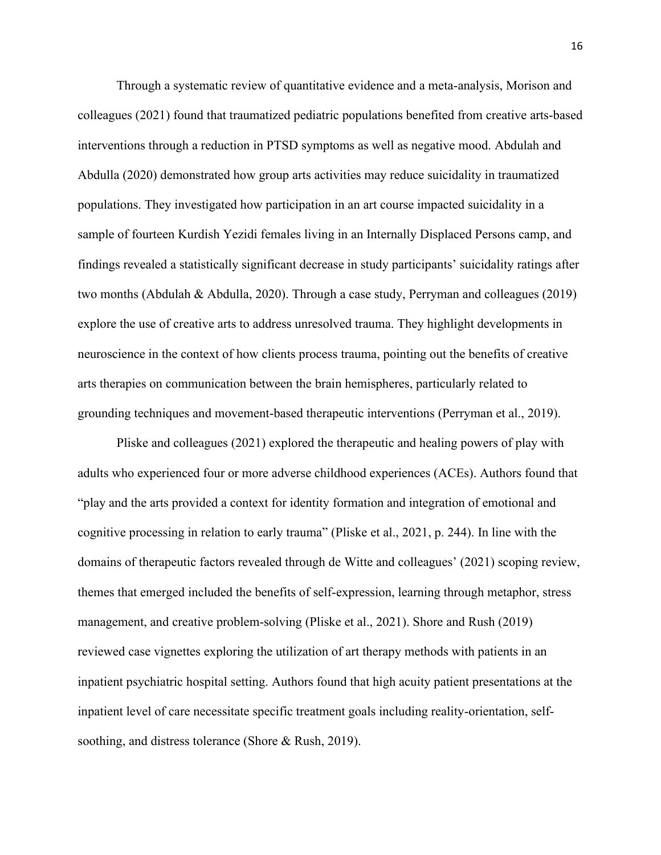Through a systematic review of quantitative evidence and a meta-analysis, Morison and colleagues (2021) found that traumatized pediatric populations benefited from creative arts-based interventions through a reduction in PTSD symptoms as well as negative mood. Abdulah and Abdulla (2020) demonstrated how group arts activities may reduce suicidality in traumatized populations. They investigated how participation in an art course impacted suicidality in a sample of fourteen Kurdish Yezidi females living in an Internally Displaced Persons camp, and findings revealed a statistically significant decrease in study participants' suicidality ratings after two months (Abdulah & Abdulla, 2020). Through a case study, Perryman and colleagues (2019) explore the use of creative arts to address unresolved trauma. They highlight developments in neuroscience in the context of how clients process trauma, pointing out the benefits of creative arts therapies on communication between the brain hemispheres, particularly related to grounding techniques and movement-based therapeutic interventions (Perryman et al., 2019).

Pliske and colleagues (2021) explored the therapeutic and healing powers of play with adults who experienced four or more adverse childhood experiences (ACEs). Authors found that "play and the arts provided a context for identity formation and integration of emotional and cognitive processing in relation to early trauma" (Pliske et al., 2021, p. 244). In line with the domains of therapeutic factors revealed through de Witte and colleagues' (2021) scoping review, themes that emerged included the benefits of self-expression, learning through metaphor, stress management, and creative problem-solving (Pliske et al., 2021). Shore and Rush (2019) reviewed case vignettes exploring the utilization of art therapy methods with patients in an inpatient psychiatric hospital setting. Authors found that high acuity patient presentations at the inpatient level of care necessitate specific treatment goals including reality-orientation, selfsoothing, and distress tolerance (Shore & Rush, 2019).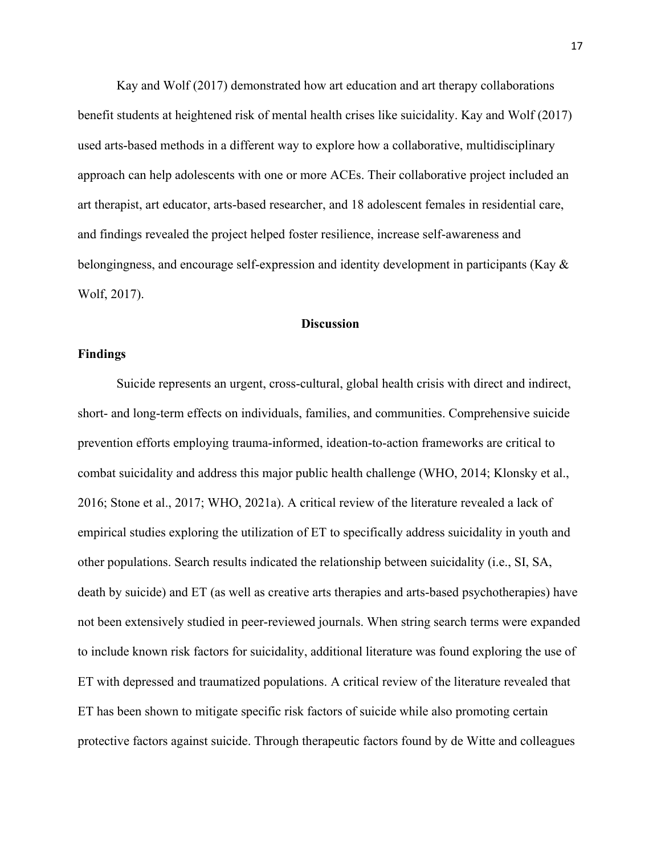Kay and Wolf (2017) demonstrated how art education and art therapy collaborations benefit students at heightened risk of mental health crises like suicidality. Kay and Wolf (2017) used arts-based methods in a different way to explore how a collaborative, multidisciplinary approach can help adolescents with one or more ACEs. Their collaborative project included an art therapist, art educator, arts-based researcher, and 18 adolescent females in residential care, and findings revealed the project helped foster resilience, increase self-awareness and belongingness, and encourage self-expression and identity development in participants (Kay & Wolf, 2017).

## **Discussion**

### **Findings**

Suicide represents an urgent, cross-cultural, global health crisis with direct and indirect, short- and long-term effects on individuals, families, and communities. Comprehensive suicide prevention efforts employing trauma-informed, ideation-to-action frameworks are critical to combat suicidality and address this major public health challenge (WHO, 2014; Klonsky et al., 2016; Stone et al., 2017; WHO, 2021a). A critical review of the literature revealed a lack of empirical studies exploring the utilization of ET to specifically address suicidality in youth and other populations. Search results indicated the relationship between suicidality (i.e., SI, SA, death by suicide) and ET (as well as creative arts therapies and arts-based psychotherapies) have not been extensively studied in peer-reviewed journals. When string search terms were expanded to include known risk factors for suicidality, additional literature was found exploring the use of ET with depressed and traumatized populations. A critical review of the literature revealed that ET has been shown to mitigate specific risk factors of suicide while also promoting certain protective factors against suicide. Through therapeutic factors found by de Witte and colleagues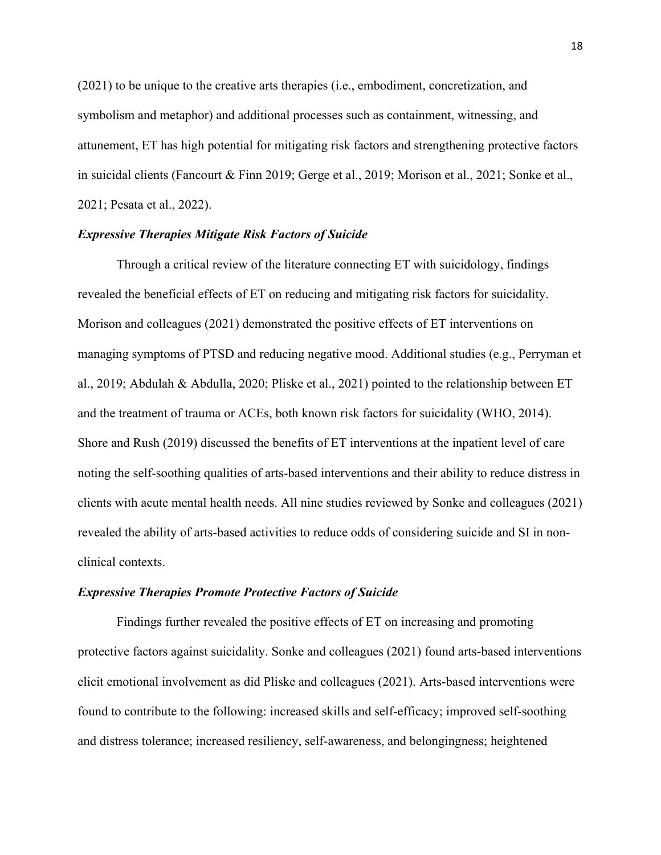(2021) to be unique to the creative arts therapies (i.e., embodiment, concretization, and symbolism and metaphor) and additional processes such as containment, witnessing, and attunement, ET has high potential for mitigating risk factors and strengthening protective factors in suicidal clients (Fancourt & Finn 2019; Gerge et al., 2019; Morison et al., 2021; Sonke et al., 2021; Pesata et al., 2022).

#### *Expressive Therapies Mitigate Risk Factors of Suicide*

Through a critical review of the literature connecting ET with suicidology, findings revealed the beneficial effects of ET on reducing and mitigating risk factors for suicidality. Morison and colleagues (2021) demonstrated the positive effects of ET interventions on managing symptoms of PTSD and reducing negative mood. Additional studies (e.g., Perryman et al., 2019; Abdulah & Abdulla, 2020; Pliske et al., 2021) pointed to the relationship between ET and the treatment of trauma or ACEs, both known risk factors for suicidality (WHO, 2014). Shore and Rush (2019) discussed the benefits of ET interventions at the inpatient level of care noting the self-soothing qualities of arts-based interventions and their ability to reduce distress in clients with acute mental health needs. All nine studies reviewed by Sonke and colleagues (2021) revealed the ability of arts-based activities to reduce odds of considering suicide and SI in nonclinical contexts.

#### *Expressive Therapies Promote Protective Factors of Suicide*

Findings further revealed the positive effects of ET on increasing and promoting protective factors against suicidality. Sonke and colleagues (2021) found arts-based interventions elicit emotional involvement as did Pliske and colleagues (2021). Arts-based interventions were found to contribute to the following: increased skills and self-efficacy; improved self-soothing and distress tolerance; increased resiliency, self-awareness, and belongingness; heightened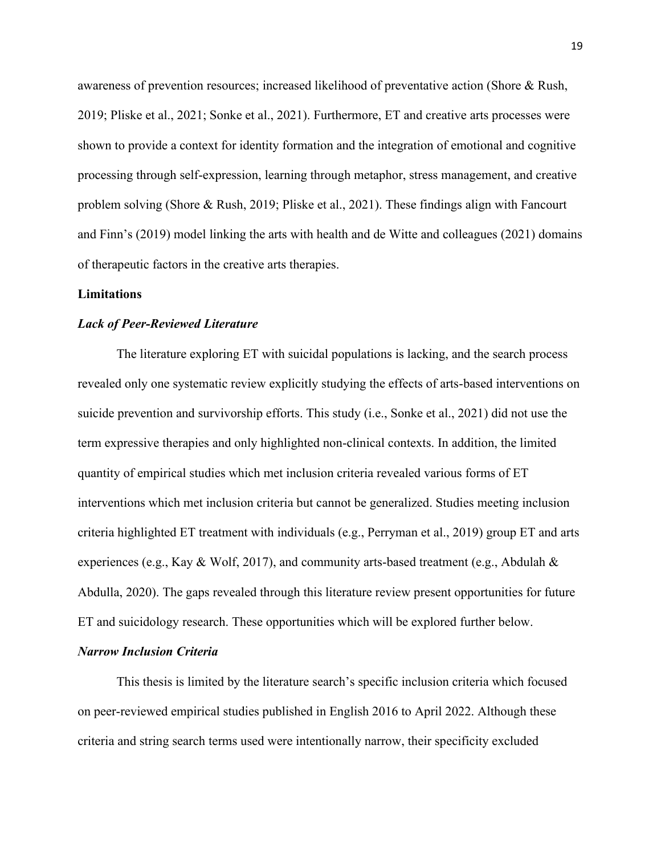awareness of prevention resources; increased likelihood of preventative action (Shore & Rush, 2019; Pliske et al., 2021; Sonke et al., 2021). Furthermore, ET and creative arts processes were shown to provide a context for identity formation and the integration of emotional and cognitive processing through self-expression, learning through metaphor, stress management, and creative problem solving (Shore & Rush, 2019; Pliske et al., 2021). These findings align with Fancourt and Finn's (2019) model linking the arts with health and de Witte and colleagues (2021) domains of therapeutic factors in the creative arts therapies.

#### **Limitations**

#### *Lack of Peer-Reviewed Literature*

The literature exploring ET with suicidal populations is lacking, and the search process revealed only one systematic review explicitly studying the effects of arts-based interventions on suicide prevention and survivorship efforts. This study (i.e., Sonke et al., 2021) did not use the term expressive therapies and only highlighted non-clinical contexts. In addition, the limited quantity of empirical studies which met inclusion criteria revealed various forms of ET interventions which met inclusion criteria but cannot be generalized. Studies meeting inclusion criteria highlighted ET treatment with individuals (e.g., Perryman et al., 2019) group ET and arts experiences (e.g., Kay & Wolf, 2017), and community arts-based treatment (e.g., Abdulah & Abdulla, 2020). The gaps revealed through this literature review present opportunities for future ET and suicidology research. These opportunities which will be explored further below.

### *Narrow Inclusion Criteria*

This thesis is limited by the literature search's specific inclusion criteria which focused on peer-reviewed empirical studies published in English 2016 to April 2022. Although these criteria and string search terms used were intentionally narrow, their specificity excluded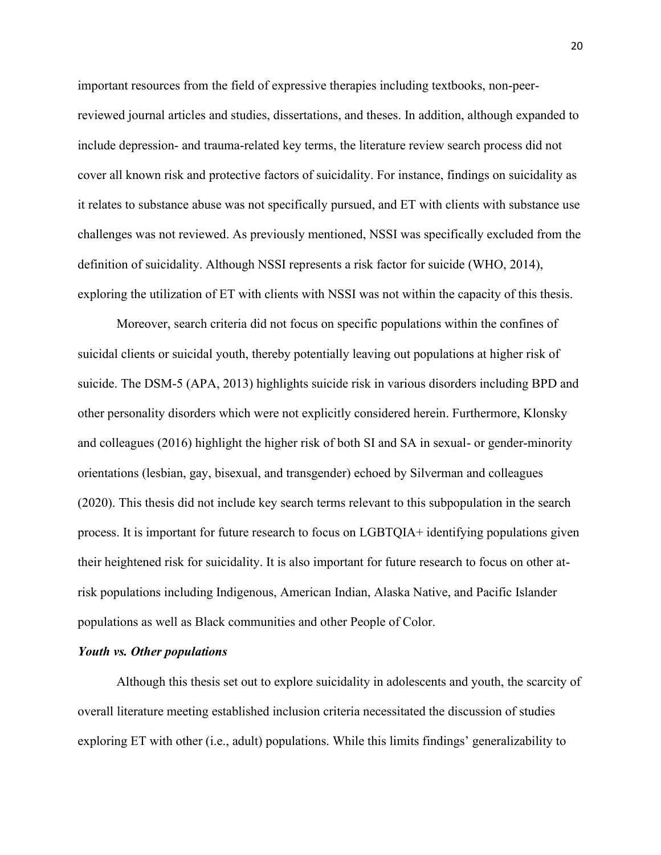important resources from the field of expressive therapies including textbooks, non-peerreviewed journal articles and studies, dissertations, and theses. In addition, although expanded to include depression- and trauma-related key terms, the literature review search process did not cover all known risk and protective factors of suicidality. For instance, findings on suicidality as it relates to substance abuse was not specifically pursued, and ET with clients with substance use challenges was not reviewed. As previously mentioned, NSSI was specifically excluded from the definition of suicidality. Although NSSI represents a risk factor for suicide (WHO, 2014), exploring the utilization of ET with clients with NSSI was not within the capacity of this thesis.

Moreover, search criteria did not focus on specific populations within the confines of suicidal clients or suicidal youth, thereby potentially leaving out populations at higher risk of suicide. The DSM-5 (APA, 2013) highlights suicide risk in various disorders including BPD and other personality disorders which were not explicitly considered herein. Furthermore, Klonsky and colleagues (2016) highlight the higher risk of both SI and SA in sexual- or gender-minority orientations (lesbian, gay, bisexual, and transgender) echoed by Silverman and colleagues (2020). This thesis did not include key search terms relevant to this subpopulation in the search process. It is important for future research to focus on LGBTQIA+ identifying populations given their heightened risk for suicidality. It is also important for future research to focus on other atrisk populations including Indigenous, American Indian, Alaska Native, and Pacific Islander populations as well as Black communities and other People of Color.

#### *Youth vs. Other populations*

Although this thesis set out to explore suicidality in adolescents and youth, the scarcity of overall literature meeting established inclusion criteria necessitated the discussion of studies exploring ET with other (i.e., adult) populations. While this limits findings' generalizability to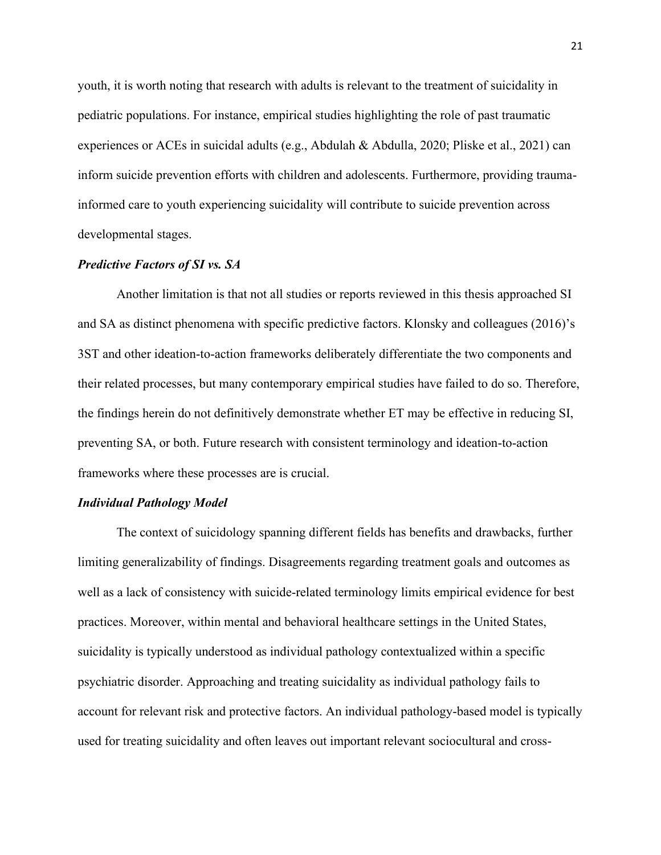youth, it is worth noting that research with adults is relevant to the treatment of suicidality in pediatric populations. For instance, empirical studies highlighting the role of past traumatic experiences or ACEs in suicidal adults (e.g., Abdulah & Abdulla, 2020; Pliske et al., 2021) can inform suicide prevention efforts with children and adolescents. Furthermore, providing traumainformed care to youth experiencing suicidality will contribute to suicide prevention across developmental stages.

#### *Predictive Factors of SI vs. SA*

Another limitation is that not all studies or reports reviewed in this thesis approached SI and SA as distinct phenomena with specific predictive factors. Klonsky and colleagues (2016)'s 3ST and other ideation-to-action frameworks deliberately differentiate the two components and their related processes, but many contemporary empirical studies have failed to do so. Therefore, the findings herein do not definitively demonstrate whether ET may be effective in reducing SI, preventing SA, or both. Future research with consistent terminology and ideation-to-action frameworks where these processes are is crucial.

#### *Individual Pathology Model*

The context of suicidology spanning different fields has benefits and drawbacks, further limiting generalizability of findings. Disagreements regarding treatment goals and outcomes as well as a lack of consistency with suicide-related terminology limits empirical evidence for best practices. Moreover, within mental and behavioral healthcare settings in the United States, suicidality is typically understood as individual pathology contextualized within a specific psychiatric disorder. Approaching and treating suicidality as individual pathology fails to account for relevant risk and protective factors. An individual pathology-based model is typically used for treating suicidality and often leaves out important relevant sociocultural and cross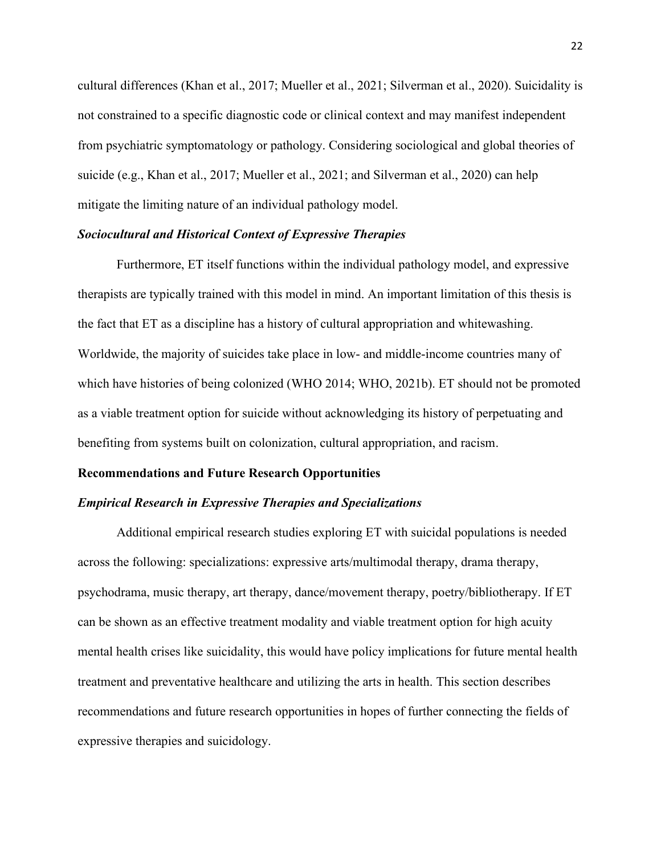cultural differences (Khan et al., 2017; Mueller et al., 2021; Silverman et al., 2020). Suicidality is not constrained to a specific diagnostic code or clinical context and may manifest independent from psychiatric symptomatology or pathology. Considering sociological and global theories of suicide (e.g., Khan et al., 2017; Mueller et al., 2021; and Silverman et al., 2020) can help mitigate the limiting nature of an individual pathology model.

#### *Sociocultural and Historical Context of Expressive Therapies*

Furthermore, ET itself functions within the individual pathology model, and expressive therapists are typically trained with this model in mind. An important limitation of this thesis is the fact that ET as a discipline has a history of cultural appropriation and whitewashing. Worldwide, the majority of suicides take place in low- and middle-income countries many of which have histories of being colonized (WHO 2014; WHO, 2021b). ET should not be promoted as a viable treatment option for suicide without acknowledging its history of perpetuating and benefiting from systems built on colonization, cultural appropriation, and racism.

#### **Recommendations and Future Research Opportunities**

#### *Empirical Research in Expressive Therapies and Specializations*

Additional empirical research studies exploring ET with suicidal populations is needed across the following: specializations: expressive arts/multimodal therapy, drama therapy, psychodrama, music therapy, art therapy, dance/movement therapy, poetry/bibliotherapy. If ET can be shown as an effective treatment modality and viable treatment option for high acuity mental health crises like suicidality, this would have policy implications for future mental health treatment and preventative healthcare and utilizing the arts in health. This section describes recommendations and future research opportunities in hopes of further connecting the fields of expressive therapies and suicidology.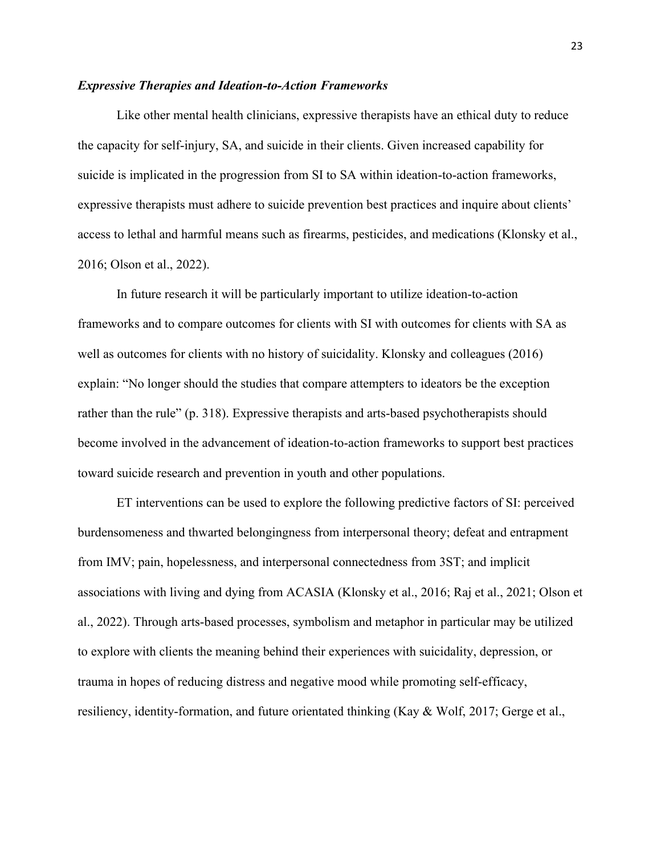#### *Expressive Therapies and Ideation-to-Action Frameworks*

Like other mental health clinicians, expressive therapists have an ethical duty to reduce the capacity for self-injury, SA, and suicide in their clients. Given increased capability for suicide is implicated in the progression from SI to SA within ideation-to-action frameworks, expressive therapists must adhere to suicide prevention best practices and inquire about clients' access to lethal and harmful means such as firearms, pesticides, and medications (Klonsky et al., 2016; Olson et al., 2022).

In future research it will be particularly important to utilize ideation-to-action frameworks and to compare outcomes for clients with SI with outcomes for clients with SA as well as outcomes for clients with no history of suicidality. Klonsky and colleagues (2016) explain: "No longer should the studies that compare attempters to ideators be the exception rather than the rule" (p. 318). Expressive therapists and arts-based psychotherapists should become involved in the advancement of ideation-to-action frameworks to support best practices toward suicide research and prevention in youth and other populations.

ET interventions can be used to explore the following predictive factors of SI: perceived burdensomeness and thwarted belongingness from interpersonal theory; defeat and entrapment from IMV; pain, hopelessness, and interpersonal connectedness from 3ST; and implicit associations with living and dying from ACASIA (Klonsky et al., 2016; Raj et al., 2021; Olson et al., 2022). Through arts-based processes, symbolism and metaphor in particular may be utilized to explore with clients the meaning behind their experiences with suicidality, depression, or trauma in hopes of reducing distress and negative mood while promoting self-efficacy, resiliency, identity-formation, and future orientated thinking (Kay & Wolf, 2017; Gerge et al.,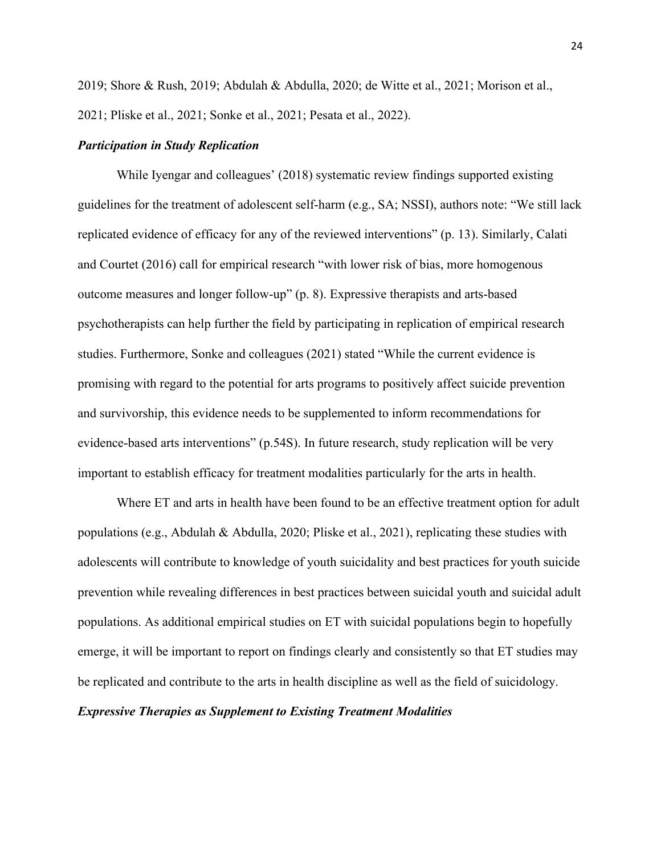2019; Shore & Rush, 2019; Abdulah & Abdulla, 2020; de Witte et al., 2021; Morison et al., 2021; Pliske et al., 2021; Sonke et al., 2021; Pesata et al., 2022).

#### *Participation in Study Replication*

While Iyengar and colleagues' (2018) systematic review findings supported existing guidelines for the treatment of adolescent self-harm (e.g., SA; NSSI), authors note: "We still lack replicated evidence of efficacy for any of the reviewed interventions" (p. 13). Similarly, Calati and Courtet (2016) call for empirical research "with lower risk of bias, more homogenous outcome measures and longer follow-up" (p. 8). Expressive therapists and arts-based psychotherapists can help further the field by participating in replication of empirical research studies. Furthermore, Sonke and colleagues (2021) stated "While the current evidence is promising with regard to the potential for arts programs to positively affect suicide prevention and survivorship, this evidence needs to be supplemented to inform recommendations for evidence-based arts interventions" (p.54S). In future research, study replication will be very important to establish efficacy for treatment modalities particularly for the arts in health.

Where ET and arts in health have been found to be an effective treatment option for adult populations (e.g., Abdulah & Abdulla, 2020; Pliske et al., 2021), replicating these studies with adolescents will contribute to knowledge of youth suicidality and best practices for youth suicide prevention while revealing differences in best practices between suicidal youth and suicidal adult populations. As additional empirical studies on ET with suicidal populations begin to hopefully emerge, it will be important to report on findings clearly and consistently so that ET studies may be replicated and contribute to the arts in health discipline as well as the field of suicidology.

# *Expressive Therapies as Supplement to Existing Treatment Modalities*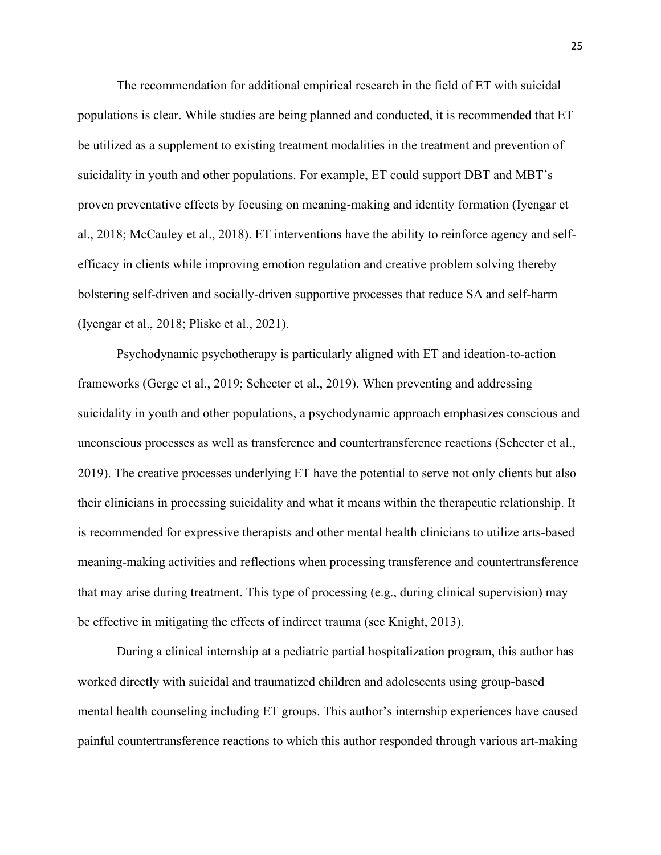The recommendation for additional empirical research in the field of ET with suicidal populations is clear. While studies are being planned and conducted, it is recommended that ET be utilized as a supplement to existing treatment modalities in the treatment and prevention of suicidality in youth and other populations. For example, ET could support DBT and MBT's proven preventative effects by focusing on meaning-making and identity formation (Iyengar et al., 2018; McCauley et al., 2018). ET interventions have the ability to reinforce agency and selfefficacy in clients while improving emotion regulation and creative problem solving thereby bolstering self-driven and socially-driven supportive processes that reduce SA and self-harm (Iyengar et al., 2018; Pliske et al., 2021).

Psychodynamic psychotherapy is particularly aligned with ET and ideation-to-action frameworks (Gerge et al., 2019; Schecter et al., 2019). When preventing and addressing suicidality in youth and other populations, a psychodynamic approach emphasizes conscious and unconscious processes as well as transference and countertransference reactions (Schecter et al., 2019). The creative processes underlying ET have the potential to serve not only clients but also their clinicians in processing suicidality and what it means within the therapeutic relationship. It is recommended for expressive therapists and other mental health clinicians to utilize arts-based meaning-making activities and reflections when processing transference and countertransference that may arise during treatment. This type of processing (e.g., during clinical supervision) may be effective in mitigating the effects of indirect trauma (see Knight, 2013).

During a clinical internship at a pediatric partial hospitalization program, this author has worked directly with suicidal and traumatized children and adolescents using group-based mental health counseling including ET groups. This author's internship experiences have caused painful countertransference reactions to which this author responded through various art-making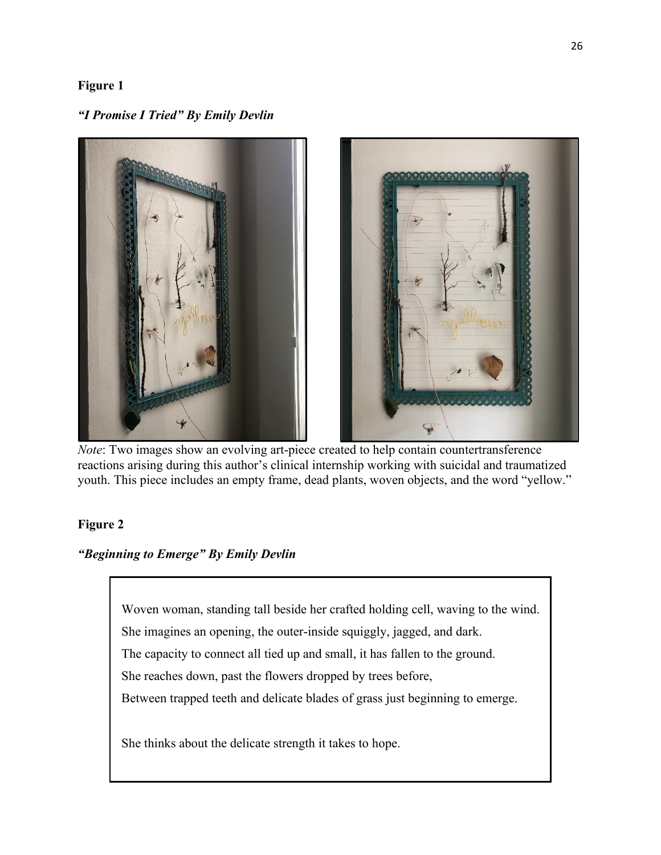# **Figure 1**

*"I Promise I Tried" By Emily Devlin*



*Note*: Two images show an evolving art-piece created to help contain countertransference reactions arising during this author's clinical internship working with suicidal and traumatized youth. This piece includes an empty frame, dead plants, woven objects, and the word "yellow."

# **Figure 2**

*"Beginning to Emerge" By Emily Devlin*

Woven woman, standing tall beside her crafted holding cell, waving to the wind. She imagines an opening, the outer-inside squiggly, jagged, and dark. The capacity to connect all tied up and small, it has fallen to the ground. She reaches down, past the flowers dropped by trees before, Between trapped teeth and delicate blades of grass just beginning to emerge.

She thinks about the delicate strength it takes to hope.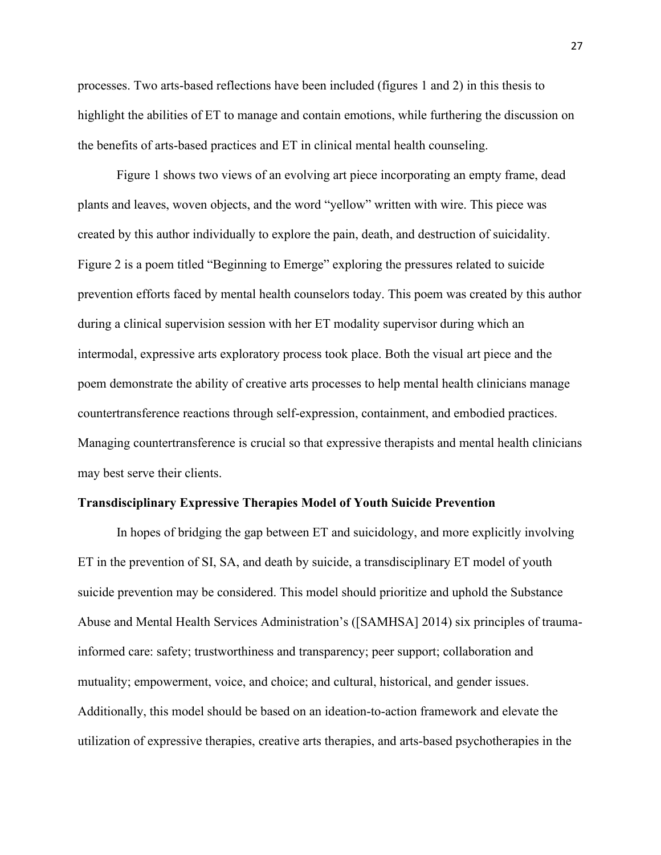processes. Two arts-based reflections have been included (figures 1 and 2) in this thesis to highlight the abilities of ET to manage and contain emotions, while furthering the discussion on the benefits of arts-based practices and ET in clinical mental health counseling.

Figure 1 shows two views of an evolving art piece incorporating an empty frame, dead plants and leaves, woven objects, and the word "yellow" written with wire. This piece was created by this author individually to explore the pain, death, and destruction of suicidality. Figure 2 is a poem titled "Beginning to Emerge" exploring the pressures related to suicide prevention efforts faced by mental health counselors today. This poem was created by this author during a clinical supervision session with her ET modality supervisor during which an intermodal, expressive arts exploratory process took place. Both the visual art piece and the poem demonstrate the ability of creative arts processes to help mental health clinicians manage countertransference reactions through self-expression, containment, and embodied practices. Managing countertransference is crucial so that expressive therapists and mental health clinicians may best serve their clients.

#### **Transdisciplinary Expressive Therapies Model of Youth Suicide Prevention**

In hopes of bridging the gap between ET and suicidology, and more explicitly involving ET in the prevention of SI, SA, and death by suicide, a transdisciplinary ET model of youth suicide prevention may be considered. This model should prioritize and uphold the Substance Abuse and Mental Health Services Administration's ([SAMHSA] 2014) six principles of traumainformed care: safety; trustworthiness and transparency; peer support; collaboration and mutuality; empowerment, voice, and choice; and cultural, historical, and gender issues. Additionally, this model should be based on an ideation-to-action framework and elevate the utilization of expressive therapies, creative arts therapies, and arts-based psychotherapies in the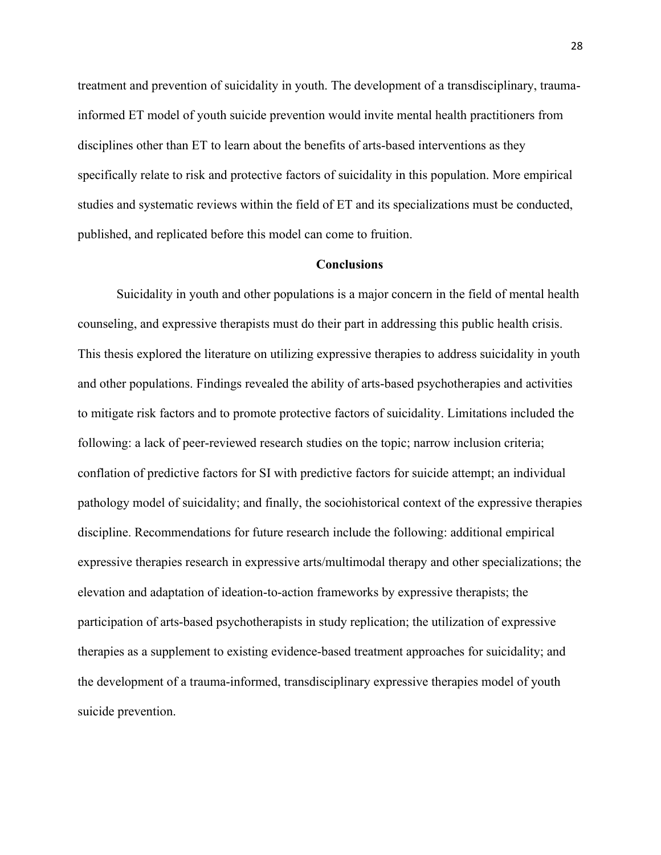treatment and prevention of suicidality in youth. The development of a transdisciplinary, traumainformed ET model of youth suicide prevention would invite mental health practitioners from disciplines other than ET to learn about the benefits of arts-based interventions as they specifically relate to risk and protective factors of suicidality in this population. More empirical studies and systematic reviews within the field of ET and its specializations must be conducted, published, and replicated before this model can come to fruition.

# **Conclusions**

Suicidality in youth and other populations is a major concern in the field of mental health counseling, and expressive therapists must do their part in addressing this public health crisis. This thesis explored the literature on utilizing expressive therapies to address suicidality in youth and other populations. Findings revealed the ability of arts-based psychotherapies and activities to mitigate risk factors and to promote protective factors of suicidality. Limitations included the following: a lack of peer-reviewed research studies on the topic; narrow inclusion criteria; conflation of predictive factors for SI with predictive factors for suicide attempt; an individual pathology model of suicidality; and finally, the sociohistorical context of the expressive therapies discipline. Recommendations for future research include the following: additional empirical expressive therapies research in expressive arts/multimodal therapy and other specializations; the elevation and adaptation of ideation-to-action frameworks by expressive therapists; the participation of arts-based psychotherapists in study replication; the utilization of expressive therapies as a supplement to existing evidence-based treatment approaches for suicidality; and the development of a trauma-informed, transdisciplinary expressive therapies model of youth suicide prevention.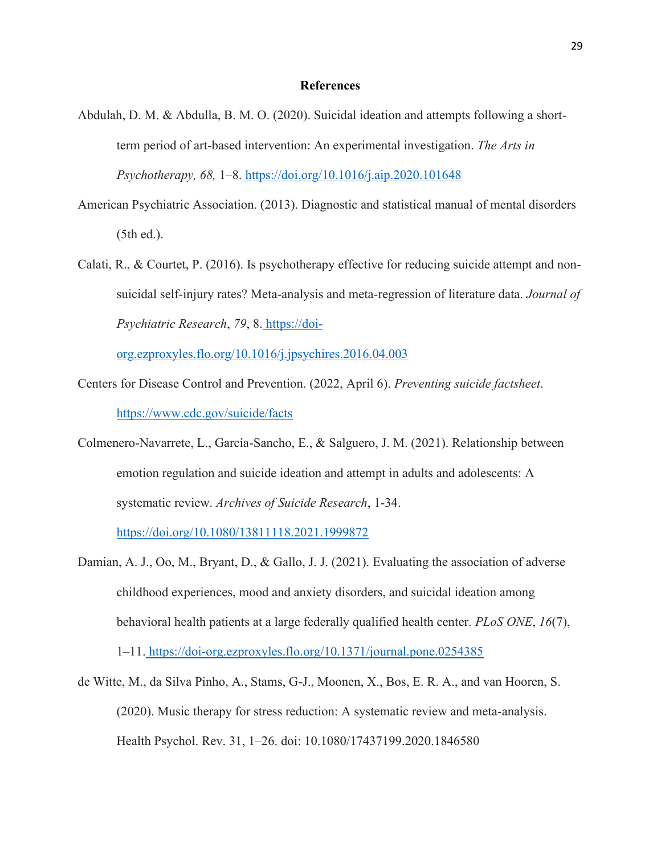#### **References**

- Abdulah, D. M. & Abdulla, B. M. O. (2020). Suicidal ideation and attempts following a shortterm period of art-based intervention: An experimental investigation. *The Arts in Psychotherapy, 68,* 1–8. <https://doi.org/10.1016/j.aip.2020.101648>
- American Psychiatric Association. (2013). Diagnostic and statistical manual of mental disorders (5th ed.).
- Calati, R., & Courtet, P. (2016). Is psychotherapy effective for reducing suicide attempt and nonsuicidal self-injury rates? Meta-analysis and meta-regression of literature data. *Journal of Psychiatric Research*, *79*, 8. [https://doi-](https://doi-org.ezproxyles.flo.org/10.1016/j.jpsychires.2016.04.003)

[org.ezproxyles.flo.org/10.1016/j.jpsychires.2016.04.003](https://doi-org.ezproxyles.flo.org/10.1016/j.jpsychires.2016.04.003)

- Centers for Disease Control and Prevention. (2022, April 6). *Preventing suicide factsheet*. <https://www.cdc.gov/suicide/facts>
- Colmenero-Navarrete, L., García-Sancho, E., & Salguero, J. M. (2021). Relationship between emotion regulation and suicide ideation and attempt in adults and adolescents: A systematic review. *Archives of Suicide Research*, 1-34[.](https://doi.org/10.1080/13811118.2021.1999872)

<https://doi.org/10.1080/13811118.2021.1999872>

- Damian, A. J., Oo, M., Bryant, D., & Gallo, J. J. (2021). Evaluating the association of adverse childhood experiences, mood and anxiety disorders, and suicidal ideation among behavioral health patients at a large federally qualified health center. *PLoS ONE*, *16*(7), 1–11. <https://doi-org.ezproxyles.flo.org/10.1371/journal.pone.0254385>
- de Witte, M., da Silva Pinho, A., Stams, G-J., Moonen, X., Bos, E. R. A., and van Hooren, S. (2020). Music therapy for stress reduction: A systematic review and meta-analysis. Health Psychol. Rev. 31, 1–26. doi: 10.1080/17437199.2020.1846580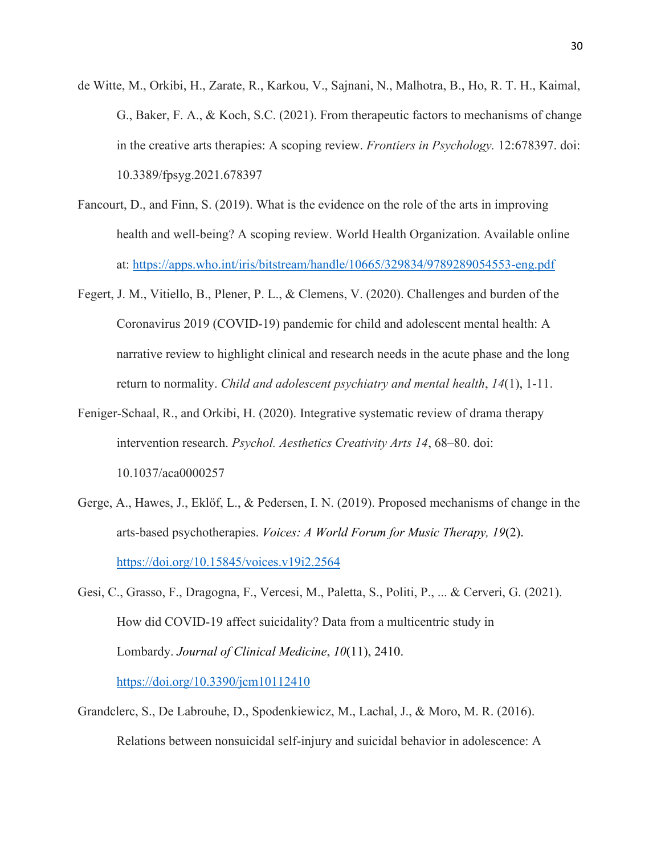- de Witte, M., Orkibi, H., Zarate, R., Karkou, V., Sajnani, N., Malhotra, B., Ho, R. T. H., Kaimal, G., Baker, F. A., & Koch, S.C. (2021). From therapeutic factors to mechanisms of change in the creative arts therapies: A scoping review. *Frontiers in Psychology.* 12:678397. doi: 10.3389/fpsyg.2021.678397
- Fancourt, D., and Finn, S. (2019). What is the evidence on the role of the arts in improving health and well-being? A scoping review. World Health Organization. Available online at:<https://apps.who.int/iris/bitstream/handle/10665/329834/9789289054553-eng.pdf>
- Fegert, J. M., Vitiello, B., Plener, P. L., & Clemens, V. (2020). Challenges and burden of the Coronavirus 2019 (COVID-19) pandemic for child and adolescent mental health: A narrative review to highlight clinical and research needs in the acute phase and the long return to normality. *Child and adolescent psychiatry and mental health*, *14*(1), 1-11.
- Feniger-Schaal, R., and Orkibi, H. (2020). Integrative systematic review of drama therapy intervention research. *Psychol. Aesthetics Creativity Arts 14*, 68–80. doi: 10.1037/aca0000257
- Gerge, A., Hawes, J., Eklöf, L., & Pedersen, I. N. (2019). Proposed mechanisms of change in the arts-based psychotherapies. *Voices: A World Forum for Music Therapy, 19*(2). <https://doi.org/10.15845/voices.v19i2.2564>
- Gesi, C., Grasso, F., Dragogna, F., Vercesi, M., Paletta, S., Politi, P., ... & Cerveri, G. (2021). How did COVID-19 affect suicidality? Data from a multicentric study in Lombardy. *Journal of Clinical Medicine*, *10*(11), 2410. <https://doi.org/10.3390/jcm10112410>
- Grandclerc, S., De Labrouhe, D., Spodenkiewicz, M., Lachal, J., & Moro, M. R. (2016). Relations between nonsuicidal self-injury and suicidal behavior in adolescence: A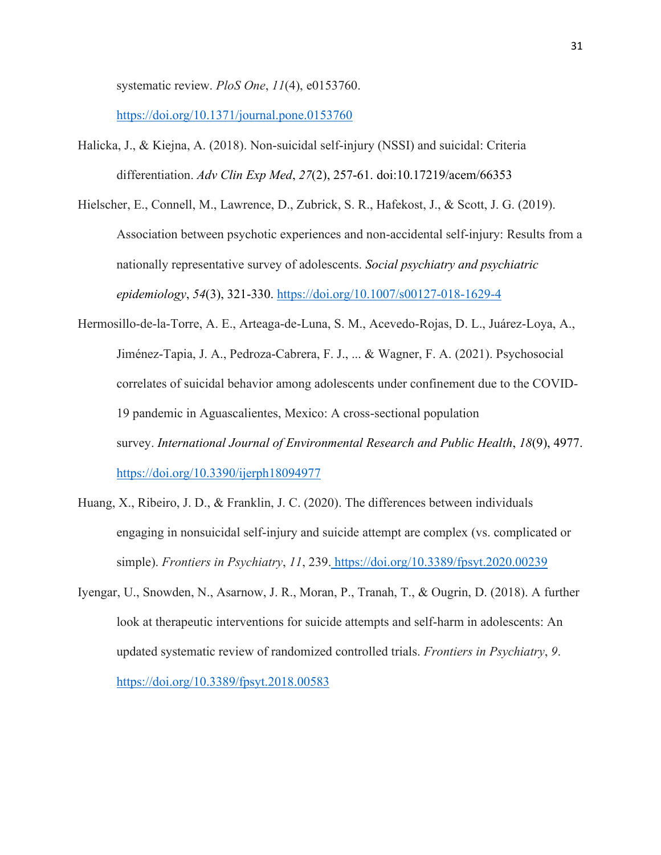systematic review. *PloS One*, *11*(4), e0153760[.](https://doi.org/10.1371/journal.pone.0153760)

<https://doi.org/10.1371/journal.pone.0153760>

Halicka, J., & Kiejna, A. (2018). Non-suicidal self-injury (NSSI) and suicidal: Criteria differentiation. *Adv Clin Exp Med*, *27*(2), 257-61. doi:10.17219/acem/66353

Hielscher, E., Connell, M., Lawrence, D., Zubrick, S. R., Hafekost, J., & Scott, J. G. (2019). Association between psychotic experiences and non-accidental self-injury: Results from a nationally representative survey of adolescents. *Social psychiatry and psychiatric epidemiology*, *54*(3), 321-330.<https://doi.org/10.1007/s00127-018-1629-4>

- Hermosillo-de-la-Torre, A. E., Arteaga-de-Luna, S. M., Acevedo-Rojas, D. L., Juárez-Loya, A., Jiménez-Tapia, J. A., Pedroza-Cabrera, F. J., ... & Wagner, F. A. (2021). Psychosocial correlates of suicidal behavior among adolescents under confinement due to the COVID-19 pandemic in Aguascalientes, Mexico: A cross-sectional population survey. *International Journal of Environmental Research and Public Health*, *18*(9), 4977. <https://doi.org/10.3390/ijerph18094977>
- Huang, X., Ribeiro, J. D., & Franklin, J. C. (2020). The differences between individuals engaging in nonsuicidal self-injury and suicide attempt are complex (vs. complicated or simple). *Frontiers in Psychiatry*, *11*, 239. <https://doi.org/10.3389/fpsyt.2020.00239>
- Iyengar, U., Snowden, N., Asarnow, J. R., Moran, P., Tranah, T., & Ougrin, D. (2018). A further look at therapeutic interventions for suicide attempts and self-harm in adolescents: An updated systematic review of randomized controlled trials. *Frontiers in Psychiatry*, *9*[.](https://doi.org/10.3389/fpsyt.2018.00583) <https://doi.org/10.3389/fpsyt.2018.00583>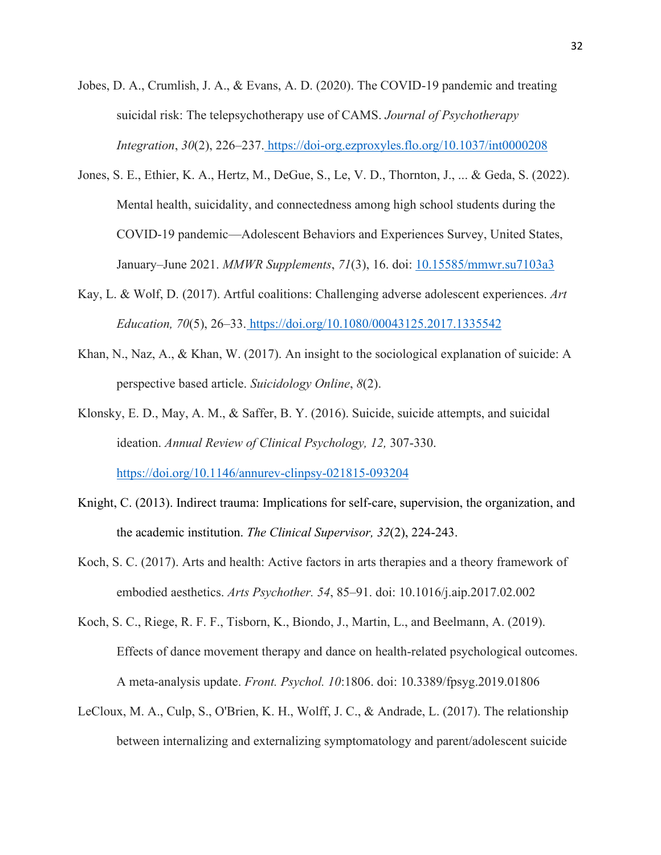- Jobes, D. A., Crumlish, J. A., & Evans, A. D. (2020). The COVID-19 pandemic and treating suicidal risk: The telepsychotherapy use of CAMS. *Journal of Psychotherapy Integration*, *30*(2), 226–237. <https://doi-org.ezproxyles.flo.org/10.1037/int0000208>
- Jones, S. E., Ethier, K. A., Hertz, M., DeGue, S., Le, V. D., Thornton, J., ... & Geda, S. (2022). Mental health, suicidality, and connectedness among high school students during the COVID-19 pandemic—Adolescent Behaviors and Experiences Survey, United States, January–June 2021. *MMWR Supplements*, *71*(3), 16. doi: [10.15585/mmwr.su7103a3](https://dx.doi.org/10.15585%2Fmmwr.su7103a3)
- Kay, L. & Wolf, D. (2017). Artful coalitions: Challenging adverse adolescent experiences. *Art Education, 70*(5), 26–33. <https://doi.org/10.1080/00043125.2017.1335542>
- Khan, N., Naz, A., & Khan, W. (2017). An insight to the sociological explanation of suicide: A perspective based article. *Suicidology Online*, *8*(2).
- Klonsky, E. D., May, A. M., & Saffer, B. Y. (2016). Suicide, suicide attempts, and suicidal ideation. *Annual Review of Clinical Psychology, 12,* 307-330[.](https://doi.org/10.1146/annurev-clinpsy-021815-093204) <https://doi.org/10.1146/annurev-clinpsy-021815-093204>
- Knight, C. (2013). Indirect trauma: Implications for self-care, supervision, the organization, and the academic institution. *The Clinical Supervisor, 32*(2), 224-243.
- Koch, S. C. (2017). Arts and health: Active factors in arts therapies and a theory framework of embodied aesthetics. *Arts Psychother. 54*, 85–91. doi: 10.1016/j.aip.2017.02.002
- Koch, S. C., Riege, R. F. F., Tisborn, K., Biondo, J., Martin, L., and Beelmann, A. (2019). Effects of dance movement therapy and dance on health-related psychological outcomes. A meta-analysis update. *Front. Psychol. 10*:1806. doi: 10.3389/fpsyg.2019.01806
- LeCloux, M. A., Culp, S., O'Brien, K. H., Wolff, J. C., & Andrade, L. (2017). The relationship between internalizing and externalizing symptomatology and parent/adolescent suicide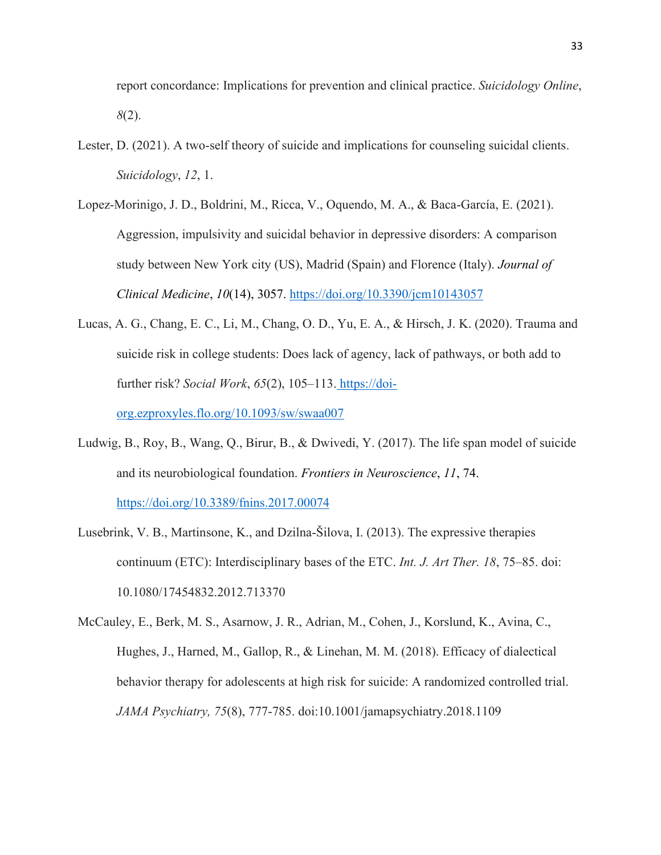report concordance: Implications for prevention and clinical practice. *Suicidology Online*, *8*(2).

- Lester, D. (2021). A two-self theory of suicide and implications for counseling suicidal clients. *Suicidology*, *12*, 1.
- Lopez-Morinigo, J. D., Boldrini, M., Ricca, V., Oquendo, M. A., & Baca-García, E. (2021). Aggression, impulsivity and suicidal behavior in depressive disorders: A comparison study between New York city (US), Madrid (Spain) and Florence (Italy). *Journal of Clinical Medicine*, *10*(14), 3057.<https://doi.org/10.3390/jcm10143057>
- Lucas, A. G., Chang, E. C., Li, M., Chang, O. D., Yu, E. A., & Hirsch, J. K. (2020). Trauma and suicide risk in college students: Does lack of agency, lack of pathways, or both add to further risk? *Social Work*, *65*(2), 105–113. [https://doi](https://doi-org.ezproxyles.flo.org/10.1093/sw/swaa007)[org.ezproxyles.flo.org/10.1093/sw/swaa007](https://doi-org.ezproxyles.flo.org/10.1093/sw/swaa007)
- Ludwig, B., Roy, B., Wang, Q., Birur, B., & Dwivedi, Y. (2017). The life span model of suicide and its neurobiological foundation. *Frontiers in Neuroscience*, *11*, 74.

<https://doi.org/10.3389/fnins.2017.00074>

- Lusebrink, V. B., Martinsone, K., and Dzilna-Šilova, I. (2013). The expressive therapies continuum (ETC): Interdisciplinary bases of the ETC. *Int. J. Art Ther. 18*, 75–85. doi: 10.1080/17454832.2012.713370
- McCauley, E., Berk, M. S., Asarnow, J. R., Adrian, M., Cohen, J., Korslund, K., Avina, C., Hughes, J., Harned, M., Gallop, R., & Linehan, M. M. (2018). Efficacy of dialectical behavior therapy for adolescents at high risk for suicide: A randomized controlled trial. *JAMA Psychiatry, 75*(8), 777-785. doi:10.1001/jamapsychiatry.2018.1109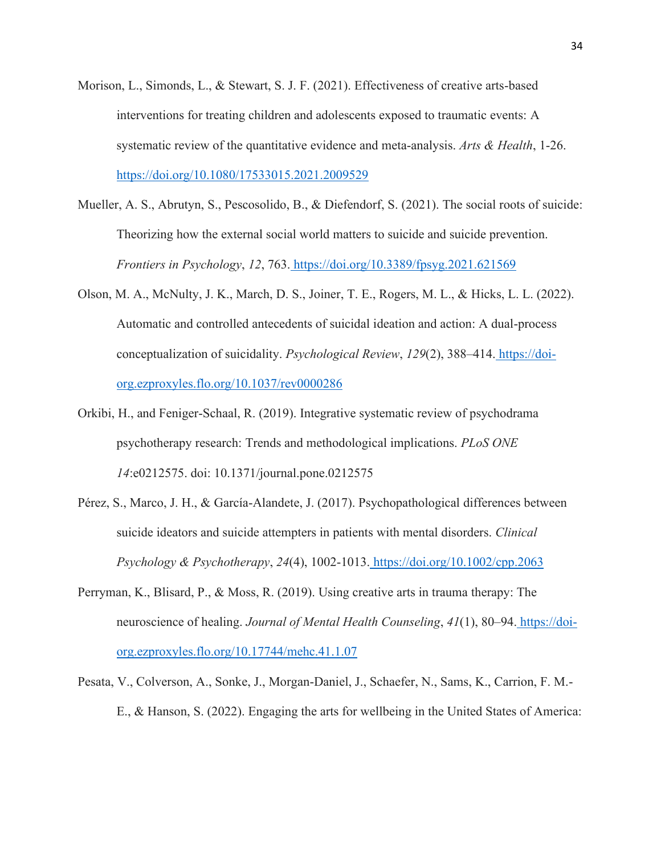- Morison, L., Simonds, L., & Stewart, S. J. F. (2021). Effectiveness of creative arts-based interventions for treating children and adolescents exposed to traumatic events: A systematic review of the quantitative evidence and meta-analysis. *Arts & Health*, 1-26[.](https://doi.org/10.1080/17533015.2021.2009529) <https://doi.org/10.1080/17533015.2021.2009529>
- Mueller, A. S., Abrutyn, S., Pescosolido, B., & Diefendorf, S. (2021). The social roots of suicide: Theorizing how the external social world matters to suicide and suicide prevention. *Frontiers in Psychology*, *12*, 763. <https://doi.org/10.3389/fpsyg.2021.621569>
- Olson, M. A., McNulty, J. K., March, D. S., Joiner, T. E., Rogers, M. L., & Hicks, L. L. (2022). Automatic and controlled antecedents of suicidal ideation and action: A dual-process conceptualization of suicidality. *Psychological Review*, *129*(2), 388–414. [https://doi](https://doi-org.ezproxyles.flo.org/10.1037/rev0000286)[org.ezproxyles.flo.org/10.1037/rev0000286](https://doi-org.ezproxyles.flo.org/10.1037/rev0000286)
- Orkibi, H., and Feniger-Schaal, R. (2019). Integrative systematic review of psychodrama psychotherapy research: Trends and methodological implications. *PLoS ONE 14*:e0212575. doi: 10.1371/journal.pone.0212575
- Pérez, S., Marco, J. H., & García‐Alandete, J. (2017). Psychopathological differences between suicide ideators and suicide attempters in patients with mental disorders. *Clinical Psychology & Psychotherapy*, *24*(4), 1002-1013. <https://doi.org/10.1002/cpp.2063>
- Perryman, K., Blisard, P., & Moss, R. (2019). Using creative arts in trauma therapy: The neuroscience of healing. *Journal of Mental Health Counseling*, *41*(1), 80–94. [https://doi](https://doi-org.ezproxyles.flo.org/10.17744/mehc.41.1.07)[org.ezproxyles.flo.org/10.17744/mehc.41.1.07](https://doi-org.ezproxyles.flo.org/10.17744/mehc.41.1.07)
- Pesata, V., Colverson, A., Sonke, J., Morgan-Daniel, J., Schaefer, N., Sams, K., Carrion, F. M.- E., & Hanson, S. (2022). Engaging the arts for wellbeing in the United States of America: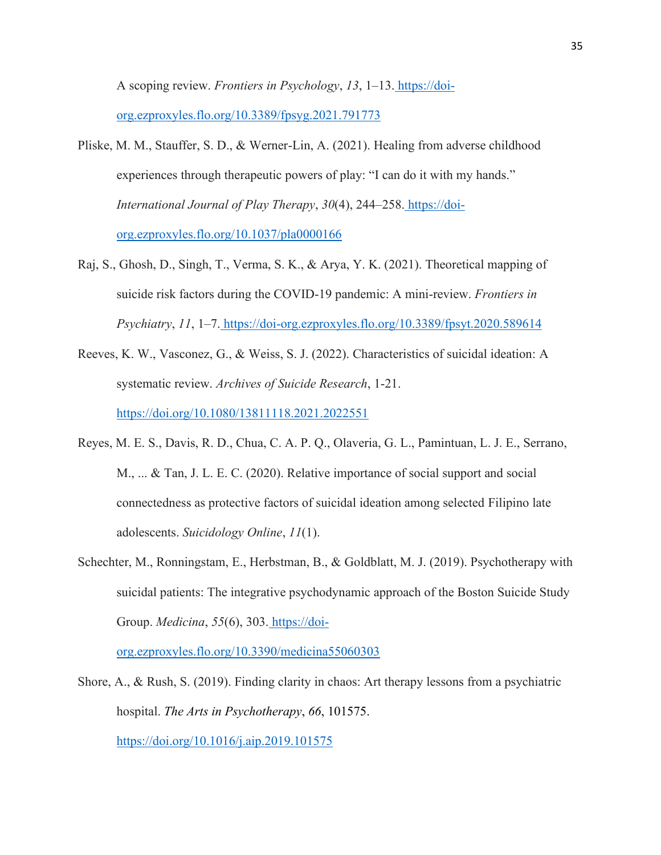A scoping review. *Frontiers in Psychology*, *13*, 1–13. [https://doi](https://doi-org.ezproxyles.flo.org/10.3389/fpsyg.2021.791773)[org.ezproxyles.flo.org/10.3389/fpsyg.2021.791773](https://doi-org.ezproxyles.flo.org/10.3389/fpsyg.2021.791773)

- Pliske, M. M., Stauffer, S. D., & Werner-Lin, A. (2021). Healing from adverse childhood experiences through therapeutic powers of play: "I can do it with my hands." *International Journal of Play Therapy*, *30*(4), 244–258. [https://doi](https://doi-org.ezproxyles.flo.org/10.1037/pla0000166)[org.ezproxyles.flo.org/10.1037/pla0000166](https://doi-org.ezproxyles.flo.org/10.1037/pla0000166)
- Raj, S., Ghosh, D., Singh, T., Verma, S. K., & Arya, Y. K. (2021). Theoretical mapping of suicide risk factors during the COVID-19 pandemic: A mini-review. *Frontiers in Psychiatry*, *11*, 1–7. <https://doi-org.ezproxyles.flo.org/10.3389/fpsyt.2020.589614>
- Reeves, K. W., Vasconez, G., & Weiss, S. J. (2022). Characteristics of suicidal ideation: A systematic review. *Archives of Suicide Research*, 1-21[.](https://doi.org/10.1080/13811118.2021.2022551) <https://doi.org/10.1080/13811118.2021.2022551>
- Reyes, M. E. S., Davis, R. D., Chua, C. A. P. Q., Olaveria, G. L., Pamintuan, L. J. E., Serrano, M., ... & Tan, J. L. E. C. (2020). Relative importance of social support and social connectedness as protective factors of suicidal ideation among selected Filipino late adolescents. *Suicidology Online*, *11*(1).
- Schechter, M., Ronningstam, E., Herbstman, B., & Goldblatt, M. J. (2019). Psychotherapy with suicidal patients: The integrative psychodynamic approach of the Boston Suicide Study Group. *Medicina*, *55*(6), 303. [https://doi-](https://doi-org.ezproxyles.flo.org/10.3390/medicina55060303)

[org.ezproxyles.flo.org/10.3390/medicina55060303](https://doi-org.ezproxyles.flo.org/10.3390/medicina55060303)

Shore, A., & Rush, S. (2019). Finding clarity in chaos: Art therapy lessons from a psychiatric hospital. *The Arts in Psychotherapy*, *66*, 101575. <https://doi.org/10.1016/j.aip.2019.101575>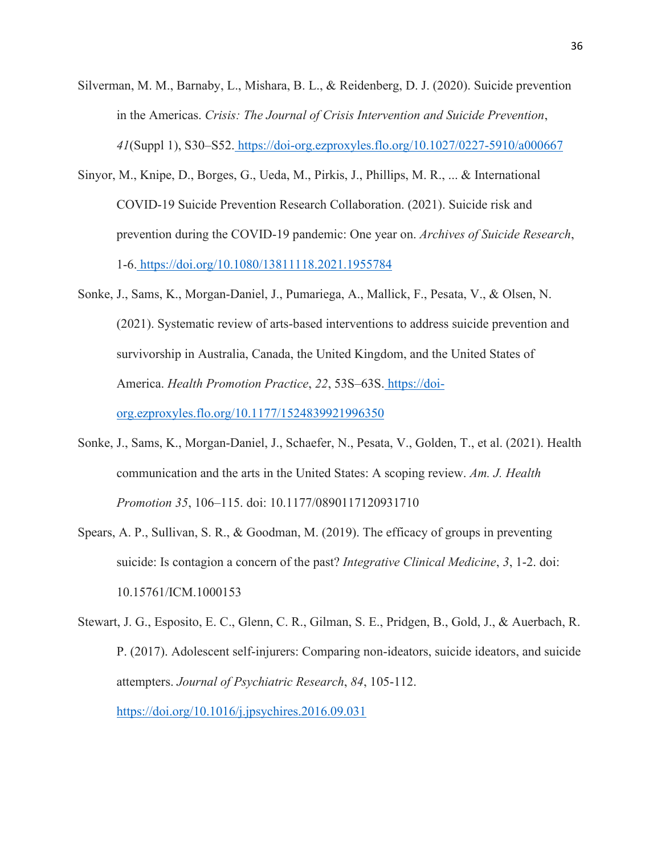- Silverman, M. M., Barnaby, L., Mishara, B. L., & Reidenberg, D. J. (2020). Suicide prevention in the Americas. *Crisis: The Journal of Crisis Intervention and Suicide Prevention*, *41*(Suppl 1), S30–S52. <https://doi-org.ezproxyles.flo.org/10.1027/0227-5910/a000667>
- Sinyor, M., Knipe, D., Borges, G., Ueda, M., Pirkis, J., Phillips, M. R., ... & International COVID-19 Suicide Prevention Research Collaboration. (2021). Suicide risk and prevention during the COVID-19 pandemic: One year on. *Archives of Suicide Research*, 1-6. <https://doi.org/10.1080/13811118.2021.1955784>
- Sonke, J., Sams, K., Morgan-Daniel, J., Pumariega, A., Mallick, F., Pesata, V., & Olsen, N. (2021). Systematic review of arts-based interventions to address suicide prevention and survivorship in Australia, Canada, the United Kingdom, and the United States of America. *Health Promotion Practice*, *22*, 53S–63S. [https://doi](https://doi-org.ezproxyles.flo.org/10.1177/1524839921996350)[org.ezproxyles.flo.org/10.1177/1524839921996350](https://doi-org.ezproxyles.flo.org/10.1177/1524839921996350)
- Sonke, J., Sams, K., Morgan-Daniel, J., Schaefer, N., Pesata, V., Golden, T., et al. (2021). Health communication and the arts in the United States: A scoping review. *Am. J. Health Promotion 35*, 106–115. doi: 10.1177/0890117120931710
- Spears, A. P., Sullivan, S. R., & Goodman, M. (2019). The efficacy of groups in preventing suicide: Is contagion a concern of the past? *Integrative Clinical Medicine*, *3*, 1-2. doi: 10.15761/ICM.1000153
- Stewart, J. G., Esposito, E. C., Glenn, C. R., Gilman, S. E., Pridgen, B., Gold, J., & Auerbach, R. P. (2017). Adolescent self-injurers: Comparing non-ideators, suicide ideators, and suicide attempters. *Journal of Psychiatric Research*, *84*, 105-112[.](https://doi.org/10.1016/j.jpsychires.2016.09.031)

<https://doi.org/10.1016/j.jpsychires.2016.09.031>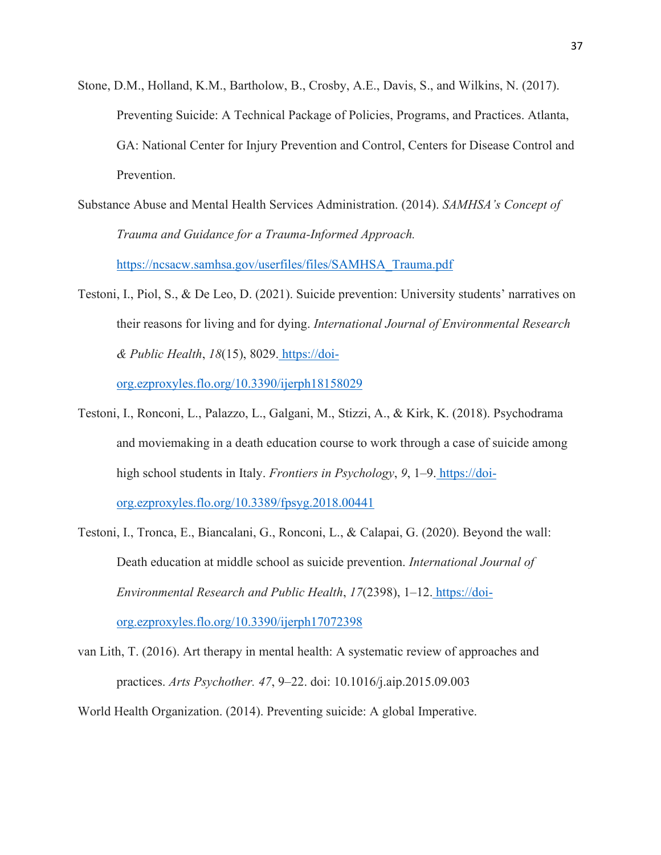- Stone, D.M., Holland, K.M., Bartholow, B., Crosby, A.E., Davis, S., and Wilkins, N. (2017). Preventing Suicide: A Technical Package of Policies, Programs, and Practices. Atlanta, GA: National Center for Injury Prevention and Control, Centers for Disease Control and Prevention.
- Substance Abuse and Mental Health Services Administration. (2014). *SAMHSA's Concept of Trauma and Guidance for a Trauma-Informed Approach[.](https://ncsacw.samhsa.gov/userfiles/files/SAMHSA_Trauma.pdf)*

[https://ncsacw.samhsa.gov/userfiles/files/SAMHSA\\_Trauma.pdf](https://ncsacw.samhsa.gov/userfiles/files/SAMHSA_Trauma.pdf)

Testoni, I., Piol, S., & De Leo, D. (2021). Suicide prevention: University students' narratives on their reasons for living and for dying. *International Journal of Environmental Research & Public Health*, *18*(15), 8029. [https://doi-](https://doi-org.ezproxyles.flo.org/10.3390/ijerph18158029)

[org.ezproxyles.flo.org/10.3390/ijerph18158029](https://doi-org.ezproxyles.flo.org/10.3390/ijerph18158029)

Testoni, I., Ronconi, L., Palazzo, L., Galgani, M., Stizzi, A., & Kirk, K. (2018). Psychodrama and moviemaking in a death education course to work through a case of suicide among high school students in Italy. *Frontiers in Psychology*, *9*, 1–9. [https://doi-](https://doi-org.ezproxyles.flo.org/10.3389/fpsyg.2018.00441)

[org.ezproxyles.flo.org/10.3389/fpsyg.2018.00441](https://doi-org.ezproxyles.flo.org/10.3389/fpsyg.2018.00441)

- Testoni, I., Tronca, E., Biancalani, G., Ronconi, L., & Calapai, G. (2020). Beyond the wall: Death education at middle school as suicide prevention. *International Journal of Environmental Research and Public Health*, *17*(2398), 1–12. [https://doi](https://doi-org.ezproxyles.flo.org/10.3390/ijerph17072398)[org.ezproxyles.flo.org/10.3390/ijerph17072398](https://doi-org.ezproxyles.flo.org/10.3390/ijerph17072398)
- van Lith, T. (2016). Art therapy in mental health: A systematic review of approaches and practices. *Arts Psychother. 47*, 9–22. doi: 10.1016/j.aip.2015.09.003
- World Health Organization. (2014). Preventing suicide: A global Imperative.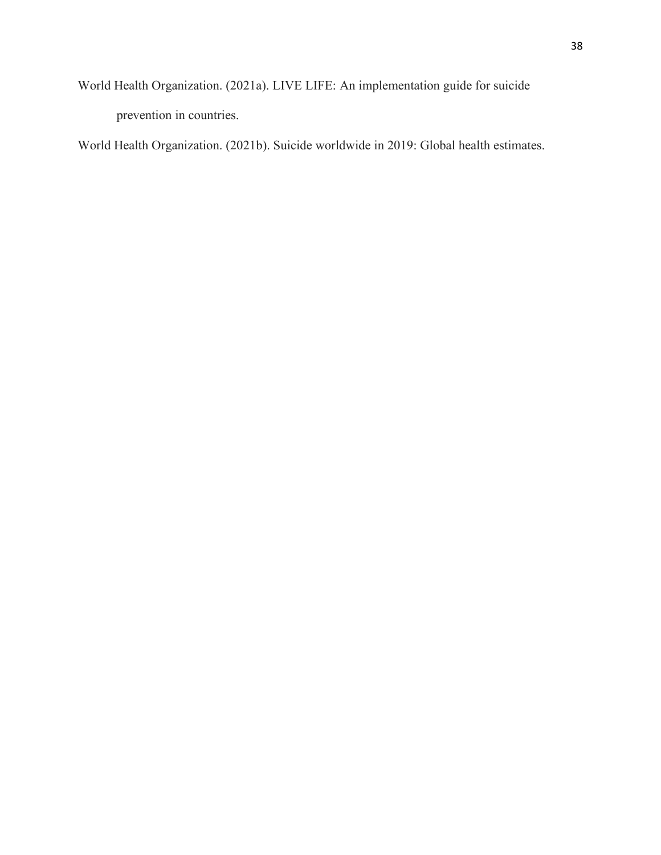World Health Organization. (2021a). LIVE LIFE: An implementation guide for suicide prevention in countries.

World Health Organization. (2021b). Suicide worldwide in 2019: Global health estimates.